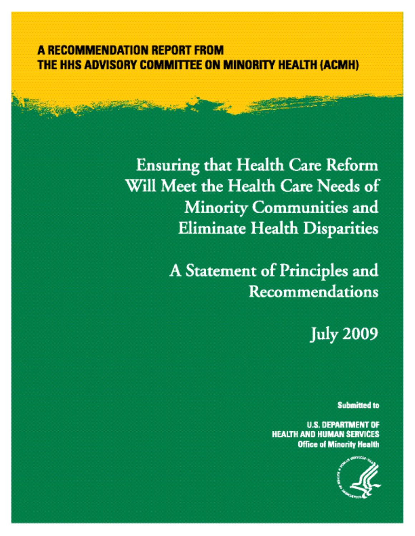# **A RECOMMENDATION REPORT FROM** THE HHS ADVISORY COMMITTEE ON MINORITY HEALTH (ACMH)

**Ensuring that Health Care Reform** Will Meet the Health Care Needs of **Minority Communities and Eliminate Health Disparities** 

> A Statement of Principles and **Recommendations**

> > **July 2009**

**Submitted to** 

**U.S. DEPARTMENT OF HEALTH AND HUMAN SERVICES** Office of Minority Health

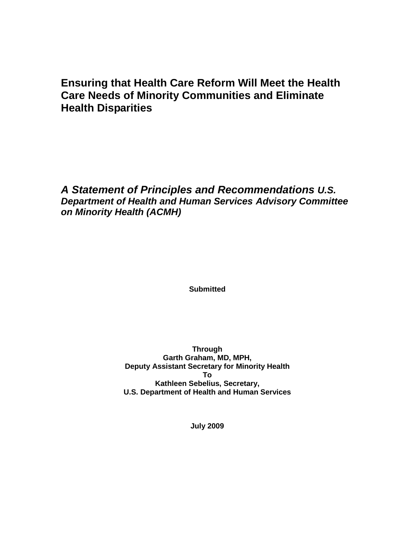## **Ensuring that Health Care Reform Will Meet the Health Care Needs of Minority Communities and Eliminate Health Disparities**

## *A Statement of Principles and Recommendations U.S. Department of Health and Human Services Advisory Committee on Minority Health (ACMH)*

**Submitted**

**Through Garth Graham, MD, MPH, Deputy Assistant Secretary for Minority Health To Kathleen Sebelius, Secretary, U.S. Department of Health and Human Services**

**July 2009**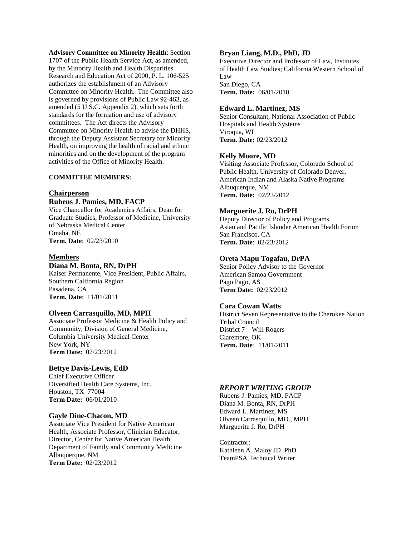**Advisory Committee on Minority Health**: Section 1707 of the Public Health Service Act, as amended, by the Minority Health and Health Disparities Research and Education Act of 2000, P. L. 106-525 authorizes the establishment of an Advisory Committee on Minority Health. The Committee also is governed by provisions of Public Law 92-463, as amended (5 U.S.C. Appendix 2), which sets forth standards for the formation and use of advisory committees. The Act directs the Advisory Committee on Minority Health to advise the DHHS, through the Deputy Assistant Secretary for Minority Health, on improving the health of racial and ethnic minorities and on the development of the program activities of the Office of Minority Health.

### **COMMITTEE MEMBERS:**

### **Chairperson Rubens J. Pamies, MD, FACP**

Vice Chancellor for Academics Affairs, Dean for Graduate Studies, Professor of Medicine, University of Nebraska Medical Center Omaha, NE **Term. Date**: 02/23/2010

### **Members**

### **Diana M. Bonta, RN, DrPH**

Kaiser Permanente, Vice President, Public Affairs, Southern California Region Pasadena, CA **Term. Date**: 11/01/2011

### **Olveen Carrasquillo, MD, MPH**

Associate Professor Medicine & Health Policy and Community, Division of General Medicine, Columbia University Medical Center New York, NY **Term Date:** 02/23/2012

### **Bettye Davis-Lewis, EdD**

Chief Executive Officer Diversified Health Care Systems, Inc. Houston, TX 77004 **Term Date:** 06/01/2010

#### **Gayle Dine-Chacon, MD**

Associate Vice President for Native American Health, Associate Professor, Clinician Educator, Director, Center for Native American Health, Department of Family and Community Medicine Albuquerque, NM **Term Date:** 02/23/2012

### **Bryan Liang, M.D., PhD, JD**

Executive Director and Professor of Law, Institutes of Health Law Studies; California Western School of Law San Diego, CA **Term. Date:** 06/01/2010

### **Edward L. Martinez, MS**

Senior Consultant, National Association of Public Hospitals and Health Systems Viroqua, WI **Term. Date:** 02/23/2012

### **Kelly Moore, MD**

Visiting Associate Professor, Colorado School of Public Health, University of Colorado Denver, American Indian and Alaska Native Programs Albuquerque, NM **Term. Date:** 02/23/2012

### **Marguerite J. Ro, DrPH**

Deputy Director of Policy and Programs Asian and Pacific Islander American Health Forum San Francisco, CA **Term. Date**: 02/23/2012

### **Oreta Mapu Togafau, DrPA**

Senior Policy Advisor to the Governor American Samoa Government Pago Pago, AS **Term Date:** 02/23/2012

### **Cara Cowan Watts**

District Seven Representative to the Cherokee Nation Tribal Council District 7 – Will Rogers Claremore, OK **Term. Date***:* 11/01/2011

### *REPORT WRITING GROUP*

Rubens J. Pamies, MD, FACP Diana M. Bonta, RN, DrPH Edward L. Martinez, MS Olveen Carrasquillo, MD., MPH Marguerite J. Ro, DrPH

Contractor: Kathleen A. Maloy JD. PhD TeamPSA Technical Writer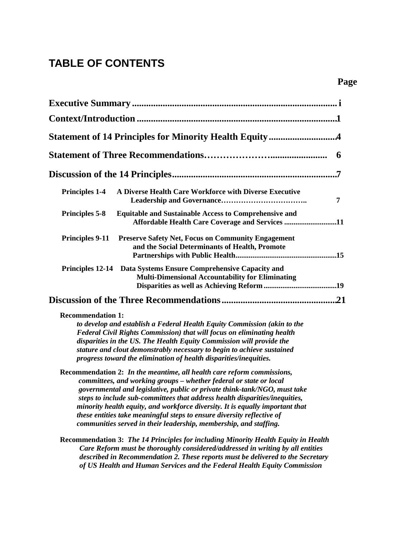# **TABLE OF CONTENTS**

| 6                                                                                                                                                                                                                                                                                                                                                                                                                                                                                                                                        |
|------------------------------------------------------------------------------------------------------------------------------------------------------------------------------------------------------------------------------------------------------------------------------------------------------------------------------------------------------------------------------------------------------------------------------------------------------------------------------------------------------------------------------------------|
|                                                                                                                                                                                                                                                                                                                                                                                                                                                                                                                                          |
| A Diverse Health Care Workforce with Diverse Executive<br><b>Principles 1-4</b><br>7                                                                                                                                                                                                                                                                                                                                                                                                                                                     |
| <b>Equitable and Sustainable Access to Comprehensive and</b><br><b>Principles 5-8</b><br>Affordable Health Care Coverage and Services 11                                                                                                                                                                                                                                                                                                                                                                                                 |
| <b>Principles 9-11</b><br><b>Preserve Safety Net, Focus on Community Engagement</b><br>and the Social Determinants of Health, Promote                                                                                                                                                                                                                                                                                                                                                                                                    |
| Principles 12-14 Data Systems Ensure Comprehensive Capacity and<br><b>Multi-Dimensional Accountability for Eliminating</b>                                                                                                                                                                                                                                                                                                                                                                                                               |
|                                                                                                                                                                                                                                                                                                                                                                                                                                                                                                                                          |
| <b>Recommendation 1:</b><br>to develop and establish a Federal Health Equity Commission (akin to the<br>Federal Civil Rights Commission) that will focus on eliminating health<br>disparities in the US. The Health Equity Commission will provide the<br>stature and clout demonstrably necessary to begin to achieve sustained<br>progress toward the elimination of health disparities/inequities.                                                                                                                                    |
| Recommendation 2: In the meantime, all health care reform commissions,<br>committees, and working groups - whether federal or state or local<br>governmental and legislative, public or private think-tank/NGO, must take<br>steps to include sub-committees that address health disparities/inequities,<br>minority health equity, and workforce diversity. It is equally important that<br>these entities take meaningful steps to ensure diversity reflective of<br>communities served in their leadership, membership, and staffing. |
| <b>Recommendation 3: The 14 Principles for including Minority Health Equity in Health</b><br>Care Reform must be thoroughly considered/addressed in writing by all entities<br>described in Recommendation 2. These reports must be delivered to the Secretary<br>of US Health and Human Services and the Federal Health Equity Commission                                                                                                                                                                                               |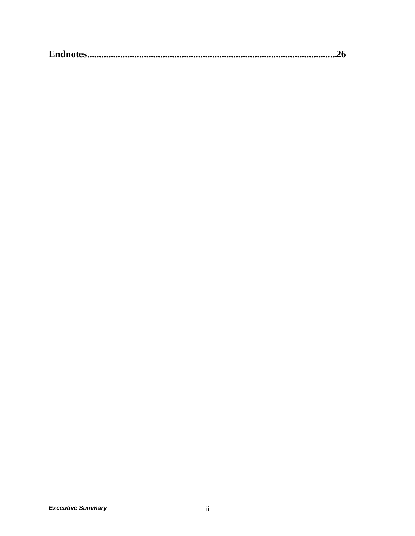|--|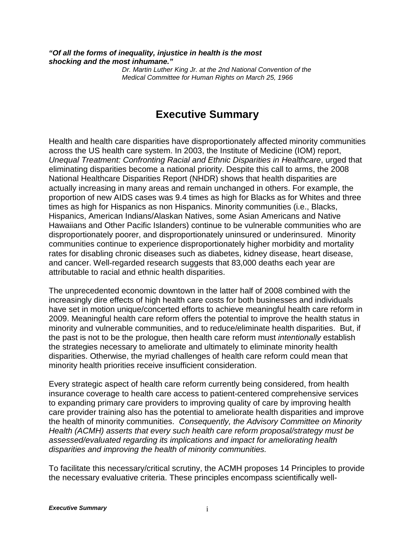*"Of all the forms of inequality, injustice in health is the most shocking and the most inhumane."*

> *Dr. Martin Luther King Jr. at the 2nd National Convention of the Medical Committee for Human Rights on March 25, 1966*

# **Executive Summary**

Health and health care disparities have disproportionately affected minority communities across the US health care system. In 2003, the Institute of Medicine (IOM) report, *Unequal Treatment: Confronting Racial and Ethnic Disparities in Healthcare*, urged that eliminating disparities become a national priority. Despite this call to arms, the 2008 National Healthcare Disparities Report (NHDR) shows that health disparities are actually increasing in many areas and remain unchanged in others. For example, the proportion of new AIDS cases was 9.4 times as high for Blacks as for Whites and three times as high for Hispanics as non Hispanics. Minority communities (i.e., Blacks, Hispanics, American Indians/Alaskan Natives, some Asian Americans and Native Hawaiians and Other Pacific Islanders) continue to be vulnerable communities who are disproportionately poorer, and disproportionately uninsured or underinsured. Minority communities continue to experience disproportionately higher morbidity and mortality rates for disabling chronic diseases such as diabetes, kidney disease, heart disease, and cancer. Well-regarded research suggests that 83,000 deaths each year are attributable to racial and ethnic health disparities.

The unprecedented economic downtown in the latter half of 2008 combined with the increasingly dire effects of high health care costs for both businesses and individuals have set in motion unique/concerted efforts to achieve meaningful health care reform in 2009. Meaningful health care reform offers the potential to improve the health status in minority and vulnerable communities, and to reduce/eliminate health disparities. But, if the past is not to be the prologue, then health care reform must *intentionally* establish the strategies necessary to ameliorate and ultimately to eliminate minority health disparities. Otherwise, the myriad challenges of health care reform could mean that minority health priorities receive insufficient consideration.

Every strategic aspect of health care reform currently being considered, from health insurance coverage to health care access to patient-centered comprehensive services to expanding primary care providers to improving quality of care by improving health care provider training also has the potential to ameliorate health disparities and improve the health of minority communities. *Consequently, the Advisory Committee on Minority Health (ACMH) asserts that every such health care reform proposal/strategy must be assessed/evaluated regarding its implications and impact for ameliorating health disparities and improving the health of minority communities.*

To facilitate this necessary/critical scrutiny, the ACMH proposes 14 Principles to provide the necessary evaluative criteria. These principles encompass scientifically well-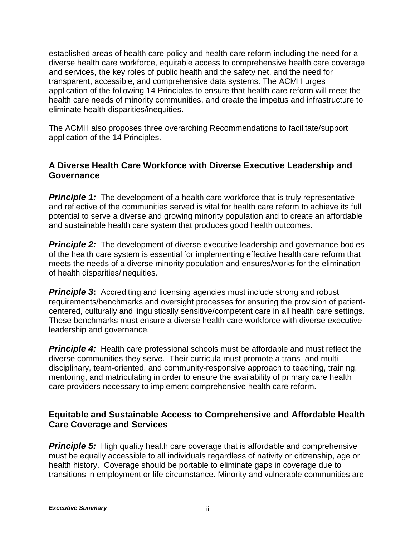established areas of health care policy and health care reform including the need for a diverse health care workforce, equitable access to comprehensive health care coverage and services, the key roles of public health and the safety net, and the need for transparent, accessible, and comprehensive data systems. The ACMH urges application of the following 14 Principles to ensure that health care reform will meet the health care needs of minority communities, and create the impetus and infrastructure to eliminate health disparities/inequities.

The ACMH also proposes three overarching Recommendations to facilitate/support application of the 14 Principles.

### **A Diverse Health Care Workforce with Diverse Executive Leadership and Governance**

**Principle 1:** The development of a health care workforce that is truly representative and reflective of the communities served is vital for health care reform to achieve its full potential to serve a diverse and growing minority population and to create an affordable and sustainable health care system that produces good health outcomes.

**Principle 2:** The development of diverse executive leadership and governance bodies of the health care system is essential for implementing effective health care reform that meets the needs of a diverse minority population and ensures/works for the elimination of health disparities/inequities.

**Principle 3:** Accrediting and licensing agencies must include strong and robust requirements/benchmarks and oversight processes for ensuring the provision of patientcentered, culturally and linguistically sensitive/competent care in all health care settings. These benchmarks must ensure a diverse health care workforce with diverse executive leadership and governance.

**Principle 4:** Health care professional schools must be affordable and must reflect the diverse communities they serve. Their curricula must promote a trans- and multidisciplinary, team-oriented, and community-responsive approach to teaching, training, mentoring, and matriculating in order to ensure the availability of primary care health care providers necessary to implement comprehensive health care reform.

## **Equitable and Sustainable Access to Comprehensive and Affordable Health Care Coverage and Services**

**Principle 5:** High quality health care coverage that is affordable and comprehensive must be equally accessible to all individuals regardless of nativity or citizenship, age or health history. Coverage should be portable to eliminate gaps in coverage due to transitions in employment or life circumstance. Minority and vulnerable communities are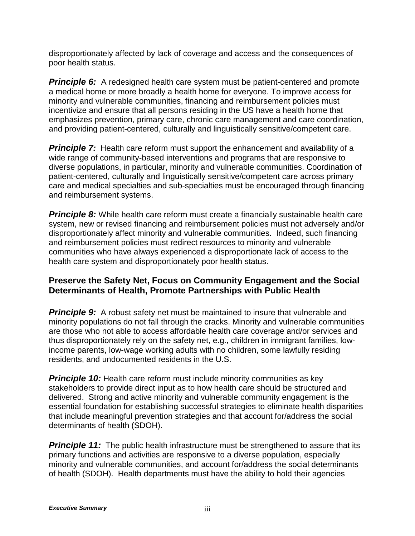disproportionately affected by lack of coverage and access and the consequences of poor health status.

**Principle 6:** A redesigned health care system must be patient-centered and promote a medical home or more broadly a health home for everyone. To improve access for minority and vulnerable communities, financing and reimbursement policies must incentivize and ensure that all persons residing in the US have a health home that emphasizes prevention, primary care, chronic care management and care coordination, and providing patient-centered, culturally and linguistically sensitive/competent care.

**Principle 7:** Health care reform must support the enhancement and availability of a wide range of community-based interventions and programs that are responsive to diverse populations, in particular, minority and vulnerable communities. Coordination of patient-centered, culturally and linguistically sensitive/competent care across primary care and medical specialties and sub-specialties must be encouraged through financing and reimbursement systems.

**Principle 8:** While health care reform must create a financially sustainable health care system, new or revised financing and reimbursement policies must not adversely and/or disproportionately affect minority and vulnerable communities. Indeed, such financing and reimbursement policies must redirect resources to minority and vulnerable communities who have always experienced a disproportionate lack of access to the health care system and disproportionately poor health status.

### **Preserve the Safety Net, Focus on Community Engagement and the Social Determinants of Health, Promote Partnerships with Public Health**

**Principle 9:** A robust safety net must be maintained to insure that vulnerable and minority populations do not fall through the cracks. Minority and vulnerable communities are those who not able to access affordable health care coverage and/or services and thus disproportionately rely on the safety net, e.g., children in immigrant families, lowincome parents, low-wage working adults with no children, some lawfully residing residents, and undocumented residents in the U.S.

**Principle 10:** Health care reform must include minority communities as key stakeholders to provide direct input as to how health care should be structured and delivered. Strong and active minority and vulnerable community engagement is the essential foundation for establishing successful strategies to eliminate health disparities that include meaningful prevention strategies and that account for/address the social determinants of health (SDOH).

**Principle 11:** The public health infrastructure must be strengthened to assure that its primary functions and activities are responsive to a diverse population, especially minority and vulnerable communities, and account for/address the social determinants of health (SDOH). Health departments must have the ability to hold their agencies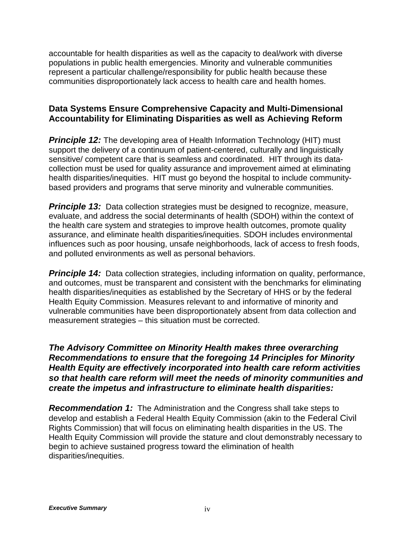accountable for health disparities as well as the capacity to deal/work with diverse populations in public health emergencies. Minority and vulnerable communities represent a particular challenge/responsibility for public health because these communities disproportionately lack access to health care and health homes.

## **Data Systems Ensure Comprehensive Capacity and Multi-Dimensional Accountability for Eliminating Disparities as well as Achieving Reform**

**Principle 12:** The developing area of Health Information Technology (HIT) must support the delivery of a continuum of patient-centered, culturally and linguistically sensitive/ competent care that is seamless and coordinated. HIT through its datacollection must be used for quality assurance and improvement aimed at eliminating health disparities/inequities. HIT must go beyond the hospital to include communitybased providers and programs that serve minority and vulnerable communities.

**Principle 13:** Data collection strategies must be designed to recognize, measure, evaluate, and address the social determinants of health (SDOH) within the context of the health care system and strategies to improve health outcomes, promote quality assurance, and eliminate health disparities/inequities. SDOH includes environmental influences such as poor housing, unsafe neighborhoods, lack of access to fresh foods, and polluted environments as well as personal behaviors.

**Principle 14:** Data collection strategies, including information on quality, performance, and outcomes, must be transparent and consistent with the benchmarks for eliminating health disparities/inequities as established by the Secretary of HHS or by the federal Health Equity Commission. Measures relevant to and informative of minority and vulnerable communities have been disproportionately absent from data collection and measurement strategies – this situation must be corrected.

*The Advisory Committee on Minority Health makes three overarching Recommendations to ensure that the foregoing 14 Principles for Minority Health Equity are effectively incorporated into health care reform activities so that health care reform will meet the needs of minority communities and create the impetus and infrastructure to eliminate health disparities:* 

*Recommendation 1:* The Administration and the Congress shall take steps to develop and establish a Federal Health Equity Commission (akin to the Federal Civil Rights Commission) that will focus on eliminating health disparities in the US. The Health Equity Commission will provide the stature and clout demonstrably necessary to begin to achieve sustained progress toward the elimination of health disparities/inequities.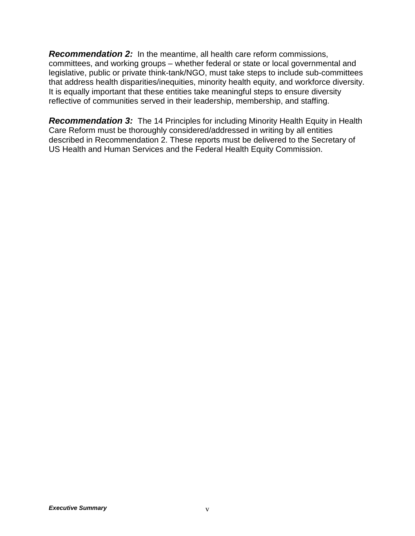*Recommendation 2:* In the meantime, all health care reform commissions, committees, and working groups – whether federal or state or local governmental and legislative, public or private think-tank/NGO, must take steps to include sub-committees that address health disparities/inequities, minority health equity, and workforce diversity. It is equally important that these entities take meaningful steps to ensure diversity reflective of communities served in their leadership, membership, and staffing.

*Recommendation 3:* The 14 Principles for including Minority Health Equity in Health Care Reform must be thoroughly considered/addressed in writing by all entities described in Recommendation 2. These reports must be delivered to the Secretary of US Health and Human Services and the Federal Health Equity Commission.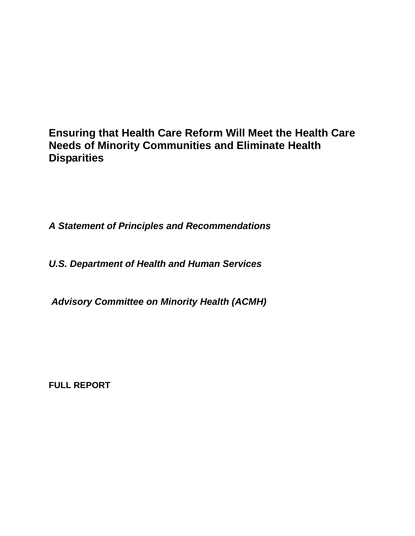# **Ensuring that Health Care Reform Will Meet the Health Care Needs of Minority Communities and Eliminate Health Disparities**

*A Statement of Principles and Recommendations* 

*U.S. Department of Health and Human Services*

*Advisory Committee on Minority Health (ACMH)*

**FULL REPORT**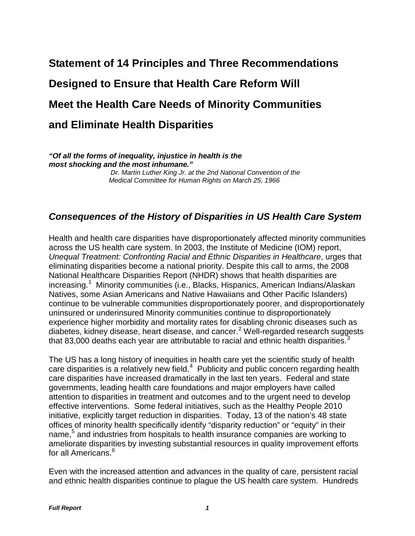# **Statement of 14 Principles and Three Recommendations Designed to Ensure that Health Care Reform Will Meet the Health Care Needs of Minority Communities and Eliminate Health Disparities**

*"Of all the forms of inequality, injustice in health is the most shocking and the most inhumane."*

 *Dr. Martin Luther King Jr. at the 2nd National Convention of the Medical Committee for Human Rights on March 25, 1966*

## *Consequences of the History of Disparities in US Health Care System*

Health and health care disparities have disproportionately affected minority communities across the US health care system. In 2003, the Institute of Medicine (IOM) report, *Unequal Treatment: Confronting Racial and Ethnic Disparities in Healthcare*, urges that eliminating disparities become a national priority. Despite this call to arms, the 2008 National Healthcare Disparities Report (NHDR) shows that health disparities are increasing.<sup>[1](#page-37-0)</sup> Minority communities (i.e., Blacks, Hispanics, American Indians/Alaskan Natives, some Asian Americans and Native Hawaiians and Other Pacific Islanders) continue to be vulnerable communities disproportionately poorer, and disproportionately uninsured or underinsured Minority communities continue to disproportionately experience higher morbidity and mortality rates for disabling chronic diseases such as diabetes, kidney disease, heart disease, and cancer.[2](#page-37-1) Well-regarded research suggests that 8[3](#page-37-2),000 deaths each year are attributable to racial and ethnic health disparities. $3$ 

The US has a long history of inequities in health care yet the scientific study of health care disparities is a relatively new field. $4$  Publicity and public concern regarding health care disparities have increased dramatically in the last ten years. Federal and state governments, leading health care foundations and major employers have called attention to disparities in treatment and outcomes and to the urgent need to develop effective interventions. Some federal initiatives, such as the Healthy People 2010 initiative, explicitly target reduction in disparities. Today, 13 of the nation's 48 state offices of minority health specifically identify "disparity reduction" or "equity" in their name,<sup>[5](#page-37-4)</sup> and industries from hospitals to health insurance companies are working to ameliorate disparities by investing substantial resources in quality improvement efforts for all Americans.<sup>[6](#page-37-5)</sup>

Even with the increased attention and advances in the quality of care, persistent racial and ethnic health disparities continue to plague the US health care system. Hundreds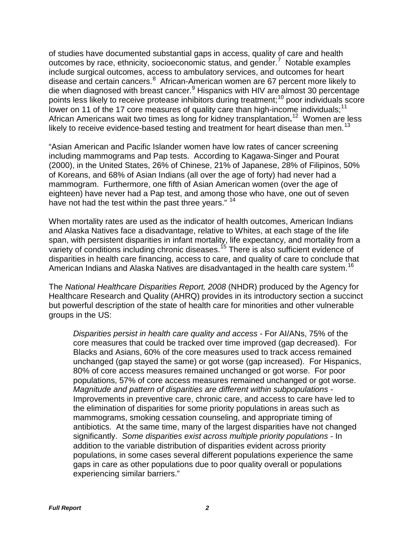of studies have documented substantial gaps in access, quality of care and health outcomes by race, ethnicity, socioeconomic status, and gender.<sup>[7](#page-37-6)</sup> Notable examples include surgical outcomes, access to ambulatory services, and outcomes for heart disease and certain cancers.<sup>[8](#page-37-7)</sup> African-American women are 67 percent more likely to die when diagnosed with breast cancer.<sup>[9](#page-37-8)</sup> Hispanics with HIV are almost 30 percentage points less likely to receive protease inhibitors during treatment;<sup>[10](#page-37-9)</sup> poor individuals score lower on [11](#page-37-10) of the 17 core measures of quality care than high-income individuals;<sup>11</sup> African Americans wait two times as long for kidney transplantation**.** [12](#page-37-11) Women are less likely to receive evidence-based testing and treatment for heart disease than men.<sup>[13](#page-38-0)</sup>

"Asian American and Pacific Islander women have low rates of cancer screening including mammograms and Pap tests. According to Kagawa-Singer and Pourat (2000), in the United States, 26% of Chinese, 21% of Japanese, 28% of Filipinos, 50% of Koreans, and 68% of Asian Indians (all over the age of forty) had never had a mammogram. Furthermore, one fifth of Asian American women (over the age of eighteen) have never had a Pap test, and among those who have, one out of seven have not had the test within the past three years."<sup>14</sup>

When mortality rates are used as the indicator of health outcomes, American Indians and Alaska Natives face a disadvantage, relative to Whites, at each stage of the life span, with persistent disparities in infant mortality, life expectancy, and mortality from a variety of conditions including chronic diseases.<sup>[15](#page-38-2)</sup> There is also sufficient evidence of American Indians and Alaska Natives are disadvantaged in the health care system.<sup>[16](#page-38-3)</sup> disparities in health care financing, access to care, and quality of care to conclude that

The *National Healthcare Disparities Report, 2008* (NHDR) produced by the Agency for Healthcare Research and Quality (AHRQ) provides in its introductory section a succinct but powerful description of the state of health care for minorities and other vulnerable groups in the US:

*Disparities persist in health care quality and access* - For AI/ANs, 75% of the core measures that could be tracked over time improved (gap decreased). For Blacks and Asians, 60% of the core measures used to track access remained unchanged (gap stayed the same) or got worse (gap increased). For Hispanics, 80% of core access measures remained unchanged or got worse. For poor populations, 57% of core access measures remained unchanged or got worse. *Magnitude and pattern of disparities are different within subpopulations* - Improvements in preventive care, chronic care, and access to care have led to the elimination of disparities for some priority populations in areas such as mammograms, smoking cessation counseling, and appropriate timing of antibiotics. At the same time, many of the largest disparities have not changed significantly. *Some disparities exist across multiple priority populations* - In addition to the variable distribution of disparities evident across priority populations, in some cases several different populations experience the same gaps in care as other populations due to poor quality overall or populations experiencing similar barriers."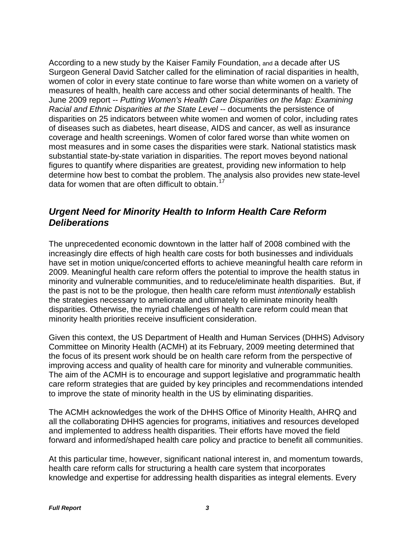According to a new study by the Kaiser Family Foundation, and a decade after US Surgeon General David Satcher called for the elimination of racial disparities in health, women of color in every state continue to fare worse than white women on a variety of measures of health, health care access and other social determinants of health. The June 2009 report -- *Putting Women's Health Care Disparities on the Map: Examining Racial and Ethnic Disparities at the State Level --* documents the persistence of disparities on 25 indicators between white women and women of color, including rates of diseases such as diabetes, heart disease, AIDS and cancer, as well as insurance coverage and health screenings. Women of color fared worse than white women on most measures and in some cases the disparities were stark. National statistics mask substantial state-by-state variation in disparities. The report moves beyond national figures to quantify where disparities are greatest, providing new information to help determine how best to combat the problem. The analysis also provides new state-level data for women that are often difficult to obtain.<sup>[17](#page-38-4)</sup>

## *Urgent Need for Minority Health to Inform Health Care Reform Deliberations*

The unprecedented economic downtown in the latter half of 2008 combined with the increasingly dire effects of high health care costs for both businesses and individuals have set in motion unique/concerted efforts to achieve meaningful health care reform in 2009. Meaningful health care reform offers the potential to improve the health status in minority and vulnerable communities, and to reduce/eliminate health disparities. But, if the past is not to be the prologue, then health care reform must *intentionally* establish the strategies necessary to ameliorate and ultimately to eliminate minority health disparities. Otherwise, the myriad challenges of health care reform could mean that minority health priorities receive insufficient consideration.

Given this context, the US Department of Health and Human Services (DHHS) Advisory Committee on Minority Health (ACMH) at its February, 2009 meeting determined that the focus of its present work should be on health care reform from the perspective of improving access and quality of health care for minority and vulnerable communities. The aim of the ACMH is to encourage and support legislative and programmatic health care reform strategies that are guided by key principles and recommendations intended to improve the state of minority health in the US by eliminating disparities.

The ACMH acknowledges the work of the DHHS Office of Minority Health, AHRQ and all the collaborating DHHS agencies for programs, initiatives and resources developed and implemented to address health disparities. Their efforts have moved the field forward and informed/shaped health care policy and practice to benefit all communities.

At this particular time, however, significant national interest in, and momentum towards, health care reform calls for structuring a health care system that incorporates knowledge and expertise for addressing health disparities as integral elements. Every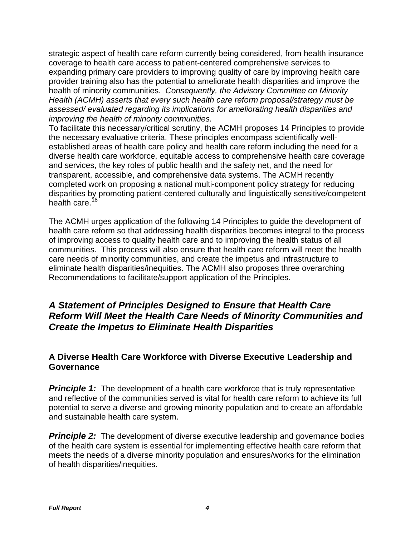strategic aspect of health care reform currently being considered, from health insurance coverage to health care access to patient-centered comprehensive services to expanding primary care providers to improving quality of care by improving health care provider training also has the potential to ameliorate health disparities and improve the health of minority communities. *Consequently, the Advisory Committee on Minority Health (ACMH) asserts that every such health care reform proposal/strategy must be assessed/ evaluated regarding its implications for ameliorating health disparities and improving the health of minority communities.*

To facilitate this necessary/critical scrutiny, the ACMH proposes 14 Principles to provide the necessary evaluative criteria. These principles encompass scientifically wellestablished areas of health care policy and health care reform including the need for a diverse health care workforce, equitable access to comprehensive health care coverage and services, the key roles of public health and the safety net, and the need for transparent, accessible, and comprehensive data systems. The ACMH recently completed work on proposing a national multi-component policy strategy for reducing disparities by promoting patient-centered culturally and linguistically sensitive/competent health care.<sup>[18](#page-38-5)</sup>

The ACMH urges application of the following 14 Principles to guide the development of health care reform so that addressing health disparities becomes integral to the process of improving access to quality health care and to improving the health status of all communities. This process will also ensure that health care reform will meet the health care needs of minority communities, and create the impetus and infrastructure to eliminate health disparities/inequities. The ACMH also proposes three overarching Recommendations to facilitate/support application of the Principles.

## *A Statement of Principles Designed to Ensure that Health Care Reform Will Meet the Health Care Needs of Minority Communities and Create the Impetus to Eliminate Health Disparities*

## **A Diverse Health Care Workforce with Diverse Executive Leadership and Governance**

**Principle 1:** The development of a health care workforce that is truly representative and reflective of the communities served is vital for health care reform to achieve its full potential to serve a diverse and growing minority population and to create an affordable and sustainable health care system.

**Principle 2:** The development of diverse executive leadership and governance bodies of the health care system is essential for implementing effective health care reform that meets the needs of a diverse minority population and ensures/works for the elimination of health disparities/inequities.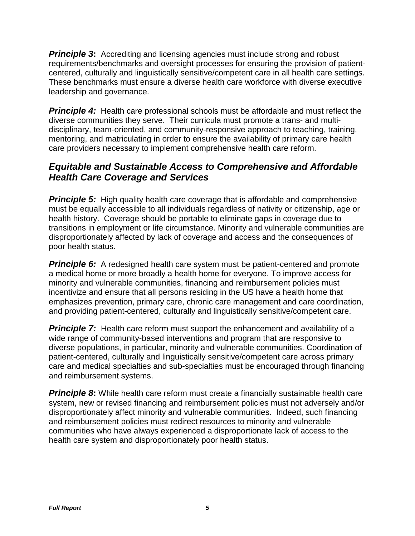**Principle 3:** Accrediting and licensing agencies must include strong and robust requirements/benchmarks and oversight processes for ensuring the provision of patientcentered, culturally and linguistically sensitive/competent care in all health care settings. These benchmarks must ensure a diverse health care workforce with diverse executive leadership and governance.

**Principle 4:** Health care professional schools must be affordable and must reflect the diverse communities they serve. Their curricula must promote a trans- and multidisciplinary, team-oriented, and community-responsive approach to teaching, training, mentoring, and matriculating in order to ensure the availability of primary care health care providers necessary to implement comprehensive health care reform.

## *Equitable and Sustainable Access to Comprehensive and Affordable Health Care Coverage and Services*

**Principle 5:** High quality health care coverage that is affordable and comprehensive must be equally accessible to all individuals regardless of nativity or citizenship, age or health history. Coverage should be portable to eliminate gaps in coverage due to transitions in employment or life circumstance. Minority and vulnerable communities are disproportionately affected by lack of coverage and access and the consequences of poor health status.

**Principle 6:** A redesigned health care system must be patient-centered and promote a medical home or more broadly a health home for everyone. To improve access for minority and vulnerable communities, financing and reimbursement policies must incentivize and ensure that all persons residing in the US have a health home that emphasizes prevention, primary care, chronic care management and care coordination, and providing patient-centered, culturally and linguistically sensitive/competent care.

**Principle 7:** Health care reform must support the enhancement and availability of a wide range of community-based interventions and program that are responsive to diverse populations, in particular, minority and vulnerable communities. Coordination of patient-centered, culturally and linguistically sensitive/competent care across primary care and medical specialties and sub-specialties must be encouraged through financing and reimbursement systems.

**Principle 8:** While health care reform must create a financially sustainable health care system, new or revised financing and reimbursement policies must not adversely and/or disproportionately affect minority and vulnerable communities. Indeed, such financing and reimbursement policies must redirect resources to minority and vulnerable communities who have always experienced a disproportionate lack of access to the health care system and disproportionately poor health status.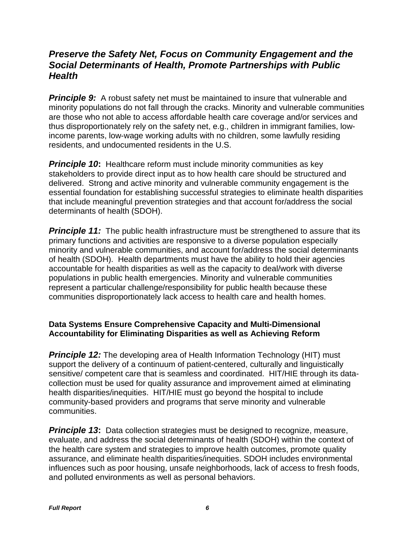## *Preserve the Safety Net, Focus on Community Engagement and the Social Determinants of Health, Promote Partnerships with Public Health*

**Principle 9:** A robust safety net must be maintained to insure that vulnerable and minority populations do not fall through the cracks. Minority and vulnerable communities are those who not able to access affordable health care coverage and/or services and thus disproportionately rely on the safety net, e.g., children in immigrant families, lowincome parents, low-wage working adults with no children, some lawfully residing residents, and undocumented residents in the U.S.

*Principle 10***:** Healthcare reform must include minority communities as key stakeholders to provide direct input as to how health care should be structured and delivered. Strong and active minority and vulnerable community engagement is the essential foundation for establishing successful strategies to eliminate health disparities that include meaningful prevention strategies and that account for/address the social determinants of health (SDOH).

**Principle 11:** The public health infrastructure must be strengthened to assure that its primary functions and activities are responsive to a diverse population especially minority and vulnerable communities, and account for/address the social determinants of health (SDOH). Health departments must have the ability to hold their agencies accountable for health disparities as well as the capacity to deal/work with diverse populations in public health emergencies. Minority and vulnerable communities represent a particular challenge/responsibility for public health because these communities disproportionately lack access to health care and health homes.

### **Data Systems Ensure Comprehensive Capacity and Multi-Dimensional Accountability for Eliminating Disparities as well as Achieving Reform**

**Principle 12:** The developing area of Health Information Technology (HIT) must support the delivery of a continuum of patient-centered, culturally and linguistically sensitive/ competent care that is seamless and coordinated. HIT/HIE through its datacollection must be used for quality assurance and improvement aimed at eliminating health disparities/inequities. HIT/HIE must go beyond the hospital to include community-based providers and programs that serve minority and vulnerable communities.

*Principle 13***:** Data collection strategies must be designed to recognize, measure, evaluate, and address the social determinants of health (SDOH) within the context of the health care system and strategies to improve health outcomes, promote quality assurance, and eliminate health disparities/inequities. SDOH includes environmental influences such as poor housing, unsafe neighborhoods, lack of access to fresh foods, and polluted environments as well as personal behaviors.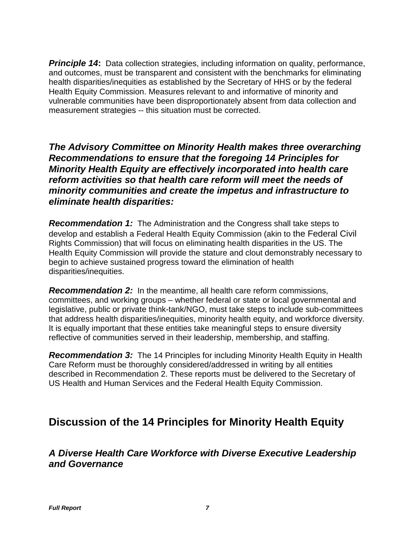**Principle 14:** Data collection strategies, including information on quality, performance, and outcomes, must be transparent and consistent with the benchmarks for eliminating health disparities/inequities as established by the Secretary of HHS or by the federal Health Equity Commission. Measures relevant to and informative of minority and vulnerable communities have been disproportionately absent from data collection and measurement strategies -- this situation must be corrected.

*The Advisory Committee on Minority Health makes three overarching Recommendations to ensure that the foregoing 14 Principles for Minority Health Equity are effectively incorporated into health care reform activities so that health care reform will meet the needs of minority communities and create the impetus and infrastructure to eliminate health disparities:*

*Recommendation 1:* The Administration and the Congress shall take steps to develop and establish a Federal Health Equity Commission (akin to the Federal Civil Rights Commission) that will focus on eliminating health disparities in the US. The Health Equity Commission will provide the stature and clout demonstrably necessary to begin to achieve sustained progress toward the elimination of health disparities/inequities.

*Recommendation 2:* In the meantime, all health care reform commissions, committees, and working groups – whether federal or state or local governmental and legislative, public or private think-tank/NGO, must take steps to include sub-committees that address health disparities/inequities, minority health equity, and workforce diversity. It is equally important that these entities take meaningful steps to ensure diversity reflective of communities served in their leadership, membership, and staffing.

**Recommendation 3:** The 14 Principles for including Minority Health Equity in Health Care Reform must be thoroughly considered/addressed in writing by all entities described in Recommendation 2. These reports must be delivered to the Secretary of US Health and Human Services and the Federal Health Equity Commission.

# **Discussion of the 14 Principles for Minority Health Equity**

## *A Diverse Health Care Workforce with Diverse Executive Leadership and Governance*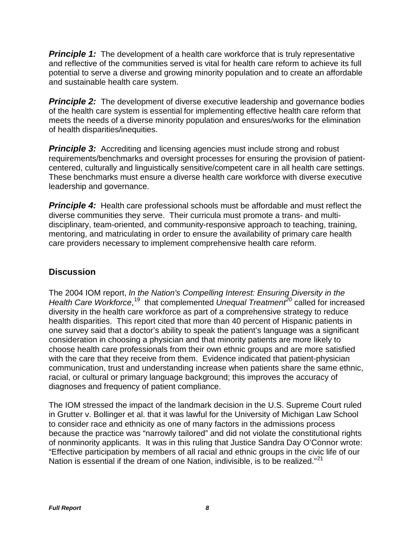**Principle 1:** The development of a health care workforce that is truly representative and reflective of the communities served is vital for health care reform to achieve its full potential to serve a diverse and growing minority population and to create an affordable and sustainable health care system.

**Principle 2:** The development of diverse executive leadership and governance bodies of the health care system is essential for implementing effective health care reform that meets the needs of a diverse minority population and ensures/works for the elimination of health disparities/inequities.

**Principle 3:** Accrediting and licensing agencies must include strong and robust requirements/benchmarks and oversight processes for ensuring the provision of patientcentered, culturally and linguistically sensitive/competent care in all health care settings. These benchmarks must ensure a diverse health care workforce with diverse executive leadership and governance.

**Principle 4:** Health care professional schools must be affordable and must reflect the diverse communities they serve. Their curricula must promote a trans- and multidisciplinary, team-oriented, and community-responsive approach to teaching, training, mentoring, and matriculating in order to ensure the availability of primary care health care providers necessary to implement comprehensive health care reform.

## **Discussion**

The 2004 IOM report, *In the Nation's Compelling Interest: Ensuring Diversity in the*  Health Care Workforce,<sup>19</sup> that complemented *Unequal Treatment<sup>[20](#page-38-7)</sup>* called for increased diversity in the health care workforce as part of a comprehensive strategy to reduce health disparities. This report cited that more than 40 percent of Hispanic patients in one survey said that a doctor's ability to speak the patient's language was a significant consideration in choosing a physician and that minority patients are more likely to choose health care professionals from their own ethnic groups and are more satisfied with the care that they receive from them. Evidence indicated that patient-physician communication, trust and understanding increase when patients share the same ethnic, racial, or cultural or primary language background; this improves the accuracy of diagnoses and frequency of patient compliance.

The IOM stressed the impact of the landmark decision in the U.S. Supreme Court ruled in Grutter v. Bollinger et al. that it was lawful for the University of Michigan Law School to consider race and ethnicity as one of many factors in the admissions process because the practice was "narrowly tailored" and did not violate the constitutional rights of nonminority applicants. It was in this ruling that Justice Sandra Day O'Connor wrote: "Effective participation by members of all racial and ethnic groups in the civic life of our Nation is essential if the dream of one Nation, indivisible, is to be realized."<sup>[21](#page-38-8)</sup>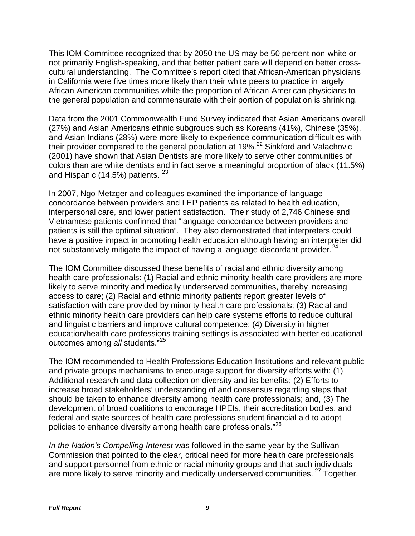This IOM Committee recognized that by 2050 the US may be 50 percent non-white or not primarily English-speaking, and that better patient care will depend on better crosscultural understanding. The Committee's report cited that African-American physicians in California were five times more likely than their white peers to practice in largely African-American communities while the proportion of African-American physicians to the general population and commensurate with their portion of population is shrinking.

Data from the 2001 Commonwealth Fund Survey indicated that Asian Americans overall (27%) and Asian Americans ethnic subgroups such as Koreans (41%), Chinese (35%), and Asian Indians (28%) were more likely to experience communication difficulties with their provider compared to the general population at 19%.<sup>[22](#page-38-9)</sup> Sinkford and Valachovic (2001) have shown that Asian Dentists are more likely to serve other communities of colors than are white dentists and in fact serve a meaningful proportion of black (11.5%) and Hispanic (14.5%) patients.  $23$ 

In 2007, Ngo-Metzger and colleagues examined the importance of language concordance between providers and LEP patients as related to health education, interpersonal care, and lower patient satisfaction. Their study of 2,746 Chinese and Vietnamese patients confirmed that "language concordance between providers and patients is still the optimal situation". They also demonstrated that interpreters could have a positive impact in promoting health education although having an interpreter did not substantively mitigate the impact of having a language-discordant provider. $^{24}$  $^{24}$  $^{24}$ 

The IOM Committee discussed these benefits of racial and ethnic diversity among health care professionals: (1) Racial and ethnic minority health care providers are more likely to serve minority and medically underserved communities, thereby increasing access to care; (2) Racial and ethnic minority patients report greater levels of satisfaction with care provided by minority health care professionals; (3) Racial and ethnic minority health care providers can help care systems efforts to reduce cultural and linguistic barriers and improve cultural competence; (4) Diversity in higher education/health care professions training settings is associated with better educational outcomes among *all* students."[25](#page-38-12)

The IOM recommended to Health Professions Education Institutions and relevant public and private groups mechanisms to encourage support for diversity efforts with: (1) Additional research and data collection on diversity and its benefits; (2) Efforts to increase broad stakeholders' understanding of and consensus regarding steps that should be taken to enhance diversity among health care professionals; and, (3) The development of broad coalitions to encourage HPEIs, their accreditation bodies, and federal and state sources of health care professions student financial aid to adopt policies to enhance diversity among health care professionals." [26](#page-38-13)

*In the Nation's Compelling Interest* was followed in the same year by the Sullivan Commission that pointed to the clear, critical need for more health care professionals and support personnel from ethnic or racial minority groups and that such individuals are more likely to serve minority and medically underserved communities. <sup>[27](#page-38-14)</sup> Together,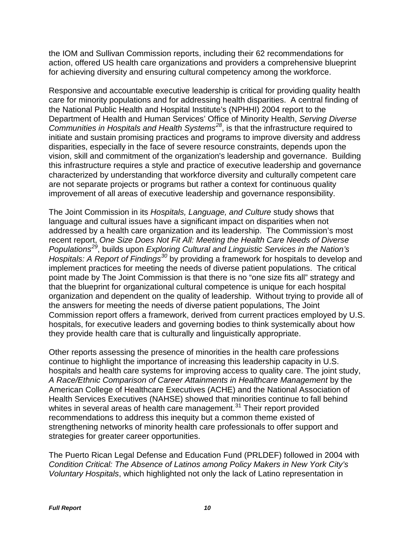the IOM and Sullivan Commission reports, including their 62 recommendations for action, offered US health care organizations and providers a comprehensive blueprint for achieving diversity and ensuring cultural competency among the workforce.

Responsive and accountable executive leadership is critical for providing quality health care for minority populations and for addressing health disparities. A central finding of the National Public Health and Hospital Institute's (NPHHI) 2004 report to the Department of Health and Human Services' Office of Minority Health, *Serving Diverse Communities in Hospitals and Health Systems[28](#page-38-15)*, is that the infrastructure required to initiate and sustain promising practices and programs to improve diversity and address disparities, especially in the face of severe resource constraints, depends upon the vision, skill and commitment of the organization's leadership and governance. Building this infrastructure requires a style and practice of executive leadership and governance characterized by understanding that workforce diversity and culturally competent care are not separate projects or programs but rather a context for continuous quality improvement of all areas of executive leadership and governance responsibility.

The Joint Commission in its *Hospitals, Language, and Culture* study shows that language and cultural issues have a significant impact on disparities when not addressed by a health care organization and its leadership. The Commission's most recent report, *One Size Does Not Fit All: Meeting the Health Care Needs of Diverse Populations[29](#page-38-16)*, builds upon *Exploring Cultural and Linguistic Services in the Nation's Hospitals: A Report of Findings[30](#page-38-17)* by providing a framework for hospitals to develop and implement practices for meeting the needs of diverse patient populations. The critical point made by The Joint Commission is that there is no "one size fits all" strategy and that the blueprint for organizational cultural competence is unique for each hospital organization and dependent on the quality of leadership. Without trying to provide all of the answers for meeting the needs of diverse patient populations, The Joint Commission report offers a framework, derived from current practices employed by U.S. hospitals, for executive leaders and governing bodies to think systemically about how they provide health care that is culturally and linguistically appropriate.

Other reports assessing the presence of minorities in the health care professions continue to highlight the importance of increasing this leadership capacity in U.S. hospitals and health care systems for improving access to quality care. The joint study, *A Race/Ethnic Comparison of Career Attainments in Healthcare Management* by the American College of Healthcare Executives (ACHE) and the National Association of Health Services Executives (NAHSE) showed that minorities continue to fall behind whites in several areas of health care management.<sup>[31](#page-38-18)</sup> Their report provided recommendations to address this inequity but a common theme existed of strengthening networks of minority health care professionals to offer support and strategies for greater career opportunities.

The Puerto Rican Legal Defense and Education Fund (PRLDEF) followed in 2004 with *Condition Critical: The Absence of Latinos among Policy Makers in New York City's Voluntary Hospitals*, which highlighted not only the lack of Latino representation in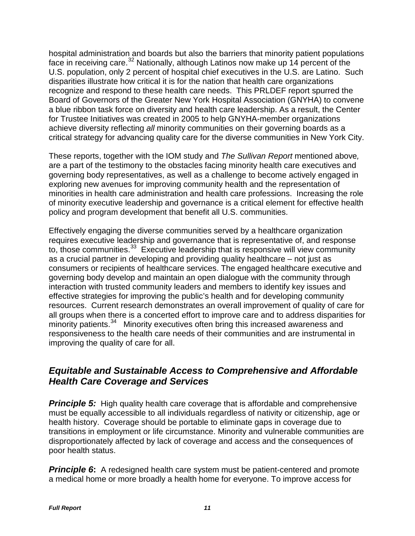hospital administration and boards but also the barriers that minority patient populations face in receiving care.<sup>[32](#page-39-0)</sup> Nationally, although Latinos now make up 14 percent of the U.S. population, only 2 percent of hospital chief executives in the U.S. are Latino. Such disparities illustrate how critical it is for the nation that health care organizations recognize and respond to these health care needs. This PRLDEF report spurred the Board of Governors of the Greater New York Hospital Association (GNYHA) to convene a blue ribbon task force on diversity and health care leadership. As a result, the Center for Trustee Initiatives was created in 2005 to help GNYHA-member organizations achieve diversity reflecting *all* minority communities on their governing boards as a critical strategy for advancing quality care for the diverse communities in New York City.

These reports, together with the IOM study and *The Sullivan Report* mentioned above*,* are a part of the testimony to the obstacles facing minority health care executives and governing body representatives, as well as a challenge to become actively engaged in exploring new avenues for improving community health and the representation of minorities in health care administration and health care professions. Increasing the role of minority executive leadership and governance is a critical element for effective health policy and program development that benefit all U.S. communities.

Effectively engaging the diverse communities served by a healthcare organization requires executive leadership and governance that is representative of, and response to, those communities.<sup>[33](#page-39-1)</sup> Executive leadership that is responsive will view community as a crucial partner in developing and providing quality healthcare – not just as consumers or recipients of healthcare services. The engaged healthcare executive and governing body develop and maintain an open dialogue with the community through interaction with trusted community leaders and members to identify key issues and effective strategies for improving the public's health and for developing community resources. Current research demonstrates an overall improvement of quality of care for all groups when there is a concerted effort to improve care and to address disparities for minority patients.<sup>[34](#page-39-2)</sup> Minority executives often bring this increased awareness and responsiveness to the health care needs of their communities and are instrumental in improving the quality of care for all.

## *Equitable and Sustainable Access to Comprehensive and Affordable Health Care Coverage and Services*

**Principle 5:** High quality health care coverage that is affordable and comprehensive must be equally accessible to all individuals regardless of nativity or citizenship, age or health history. Coverage should be portable to eliminate gaps in coverage due to transitions in employment or life circumstance. Minority and vulnerable communities are disproportionately affected by lack of coverage and access and the consequences of poor health status.

**Principle 6:** A redesigned health care system must be patient-centered and promote a medical home or more broadly a health home for everyone. To improve access for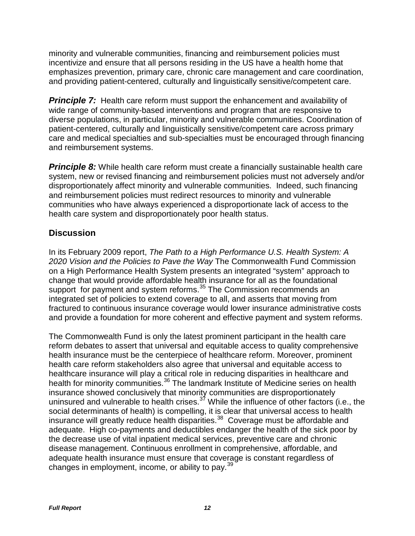minority and vulnerable communities, financing and reimbursement policies must incentivize and ensure that all persons residing in the US have a health home that emphasizes prevention, primary care, chronic care management and care coordination, and providing patient-centered, culturally and linguistically sensitive/competent care.

**Principle 7:** Health care reform must support the enhancement and availability of wide range of community-based interventions and program that are responsive to diverse populations, in particular, minority and vulnerable communities. Coordination of patient-centered, culturally and linguistically sensitive/competent care across primary care and medical specialties and sub-specialties must be encouraged through financing and reimbursement systems.

**Principle 8:** While health care reform must create a financially sustainable health care system, new or revised financing and reimbursement policies must not adversely and/or disproportionately affect minority and vulnerable communities. Indeed, such financing and reimbursement policies must redirect resources to minority and vulnerable communities who have always experienced a disproportionate lack of access to the health care system and disproportionately poor health status.

## **Discussion**

In its February 2009 report, *The Path to a High Performance U.S. Health System: A 2020 Vision and the Policies to Pave the Way* The Commonwealth Fund Commission on a High Performance Health System presents an integrated "system" approach to change that would provide affordable health insurance for all as the foundational support for payment and system reforms.<sup>[35](#page-39-3)</sup> The Commission recommends an integrated set of policies to extend coverage to all, and asserts that moving from fractured to continuous insurance coverage would lower insurance administrative costs and provide a foundation for more coherent and effective payment and system reforms.

The Commonwealth Fund is only the latest prominent participant in the health care reform debates to assert that universal and equitable access to quality comprehensive health insurance must be the centerpiece of healthcare reform. Moreover, prominent health care reform stakeholders also agree that universal and equitable access to healthcare insurance will play a critical role in reducing disparities in healthcare and health for minority communities.<sup>[36](#page-39-4)</sup> The landmark Institute of Medicine series on health insurance showed conclusively that minority communities are disproportionately uninsured and vulnerable to health crises. $3^7$  While the influence of other factors (i.e., the social determinants of health) is compelling, it is clear that universal access to health insurance will greatly reduce health disparities.<sup>38</sup> Coverage must be affordable and adequate. High co-payments and deductibles endanger the health of the sick poor by the decrease use of vital inpatient medical services, preventive care and chronic disease management. Continuous enrollment in comprehensive, affordable, and adequate health insurance must ensure that coverage is constant regardless of changes in employment, income, or ability to pay.  $39<sup>39</sup>$  $39<sup>39</sup>$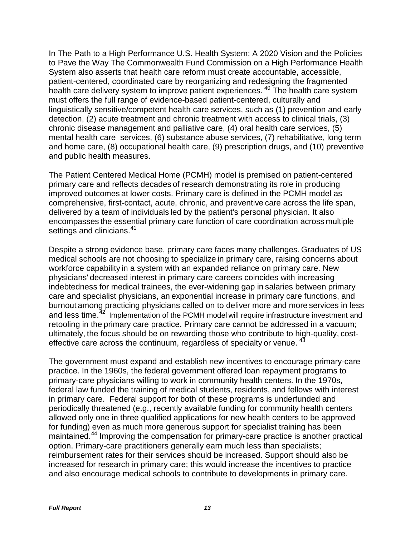In The Path to a High Performance U.S. Health System: A 2020 Vision and the Policies to Pave the Way The Commonwealth Fund Commission on a High Performance Health System also asserts that health care reform must create accountable, accessible, patient-centered, coordinated care by reorganizing and redesigning the fragmented health care delivery system to improve patient experiences.<sup>[40](#page-39-8)</sup> The health care system must offers the full range of evidence-based patient-centered, culturally and linguistically sensitive/competent health care services, such as (1) prevention and early detection, (2) acute treatment and chronic treatment with access to clinical trials, (3) chronic disease management and palliative care, (4) oral health care services, (5) mental health care services, (6) substance abuse services, (7) rehabilitative, long term and home care, (8) occupational health care, (9) prescription drugs, and (10) preventive and public health measures.

The Patient Centered Medical Home (PCMH) model is premised on patient-centered primary care and reflects decades of research demonstrating its role in producing improved outcomes at lower costs. Primary care is defined in the PCMH model as comprehensive, first-contact, acute, chronic, and preventive care across the life span, delivered by a team of individuals led by the patient's personal physician. It also encompasses the essential primary care function of care coordination across multiple settings and clinicians.<sup>[41](#page-39-9)</sup>

Despite a strong evidence base, primary care faces many challenges. Graduates of US medical schools are not choosing to specialize in primary care, raising concerns about workforce capability in a system with an expanded reliance on primary care. New physicians' decreased interest in primary care careers coincides with increasing indebtedness for medical trainees, the ever-widening gap in salaries between primary care and specialist physicians, an exponential increase in primary care functions, and burnout among practicing physicians called on to deliver more and more services in less and less time.<sup>[42](#page-39-10)</sup> Implementation of the PCMH model will require infrastructure investment and retooling in the primary care practice. Primary care cannot be addressed in a vacuum; ultimately, the focus should be on rewarding those who contribute to high-quality, costeffective care across the continuum, regardless of specialty or venue.<sup>4</sup>

The government must expand and establish new incentives to encourage primary-care practice. In the 1960s, the federal government offered loan repayment programs to primary-care physicians willing to work in community health centers. In the 1970s, federal law funded the training of medical students, residents, and fellows with interest in primary care. Federal support for both of these programs is underfunded and periodically threatened (e.g., recently available funding for community health centers allowed only one in three qualified applications for new health centers to be approved for funding) even as much more generous support for specialist training has been maintained.<sup>[44](#page-39-12)</sup> Improving the compensation for primary-care practice is another practical option. Primary-care practitioners generally earn much less than specialists; reimbursement rates for their services should be increased. Support should also be increased for research in primary care; this would increase the incentives to practice and also encourage medical schools to contribute to developments in primary care.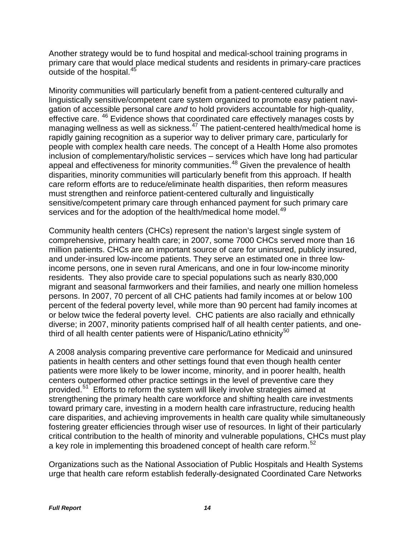Another strategy would be to fund hospital and medical-school training programs in primary care that would place medical students and residents in primary-care practices outside of the hospital.<sup>[45](#page-39-13)</sup>

Minority communities will particularly benefit from a patient-centered culturally and linguistically sensitive/competent care system organized to promote easy patient navigation of accessible personal care *and* to hold providers accountable for high-quality, effective care. <sup>[46](#page-39-14)</sup> Evidence shows that coordinated care effectively manages costs by managing wellness as well as sickness.<sup>[47](#page-39-15)</sup> The patient-centered health/medical home is rapidly gaining recognition as a superior way to deliver primary care, particularly for people with complex health care needs. The concept of a Health Home also promotes inclusion of complementary/holistic services – services which have long had particular appeal and effectiveness for minority communities.<sup>[48](#page-40-0)</sup> Given the prevalence of health disparities, minority communities will particularly benefit from this approach. If health care reform efforts are to reduce/eliminate health disparities, then reform measures must strengthen and reinforce patient-centered culturally and linguistically sensitive/competent primary care through enhanced payment for such primary care services and for the adoption of the health/medical home model.<sup>[49](#page-40-1)</sup>

Community health centers (CHCs) represent the nation's largest single system of comprehensive, primary health care; in 2007, some 7000 CHCs served more than 16 million patients. CHCs are an important source of care for uninsured, publicly insured, and under-insured low-income patients. They serve an estimated one in three lowincome persons, one in seven rural Americans, and one in four low-income minority residents. They also provide care to special populations such as nearly 830,000 migrant and seasonal farmworkers and their families, and nearly one million homeless persons. In 2007, 70 percent of all CHC patients had family incomes at or below 100 percent of the federal poverty level, while more than 90 percent had family incomes at or below twice the federal poverty level. CHC patients are also racially and ethnically diverse; in 2007, minority patients comprised half of all health center patients, and one-third of all health center patients were of Hispanic/Latino ethnicity<sup>[50](#page-40-2)</sup>

A 2008 analysis comparing preventive care performance for Medicaid and uninsured patients in health centers and other settings found that even though health center patients were more likely to be lower income, minority, and in poorer health, health centers outperformed other practice settings in the level of preventive care they provided.[51](#page-40-3) Efforts to reform the system will likely involve strategies aimed at strengthening the primary health care workforce and shifting health care investments toward primary care, investing in a modern health care infrastructure, reducing health care disparities, and achieving improvements in health care quality while simultaneously fostering greater efficiencies through wiser use of resources. In light of their particularly critical contribution to the health of minority and vulnerable populations, CHCs must play a key role in implementing this broadened concept of health care reform.<sup>[52](#page-40-4)</sup>

Organizations such as the National Association of Public Hospitals and Health Systems urge that health care reform establish federally-designated Coordinated Care Networks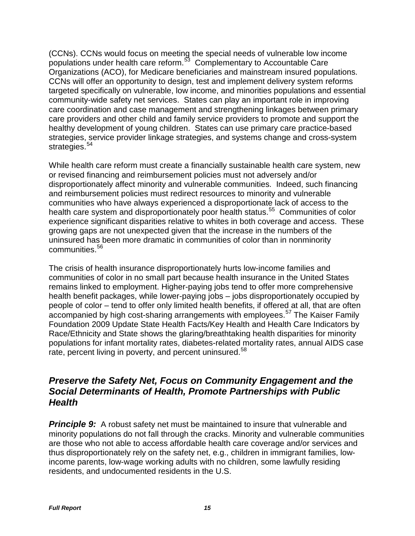(CCNs). CCNs would focus on meeting the special needs of vulnerable low income populations under health care reform.[53](#page-40-5) Complementary to Accountable Care Organizations (ACO), for Medicare beneficiaries and mainstream insured populations. CCNs will offer an opportunity to design, test and implement delivery system reforms targeted specifically on vulnerable, low income, and minorities populations and essential community-wide safety net services. States can play an important role in improving care coordination and case management and strengthening linkages between primary care providers and other child and family service providers to promote and support the healthy development of young children. States can use primary care practice-based strategies, service provider linkage strategies, and systems change and cross-system strategies.<sup>54</sup>

While health care reform must create a financially sustainable health care system, new or revised financing and reimbursement policies must not adversely and/or disproportionately affect minority and vulnerable communities. Indeed, such financing and reimbursement policies must redirect resources to minority and vulnerable communities who have always experienced a disproportionate lack of access to the health care system and disproportionately poor health status.<sup>55</sup> Communities of color experience significant disparities relative to whites in both coverage and access. These growing gaps are not unexpected given that the increase in the numbers of the uninsured has been more dramatic in communities of color than in nonminority communities.[56](#page-40-8)

The crisis of health insurance disproportionately hurts low-income families and communities of color in no small part because health insurance in the United States remains linked to employment. Higher-paying jobs tend to offer more comprehensive health benefit packages, while lower-paying jobs – jobs disproportionately occupied by people of color – tend to offer only limited health benefits, if offered at all, that are often accompanied by high cost-sharing arrangements with employees.<sup>[57](#page-40-9)</sup> The Kaiser Family Foundation 2009 Update State Health Facts/Key Health and Health Care Indicators by Race/Ethnicity and State shows the glaring/breathtaking health disparities for minority populations for infant mortality rates, diabetes-related mortality rates, annual AIDS case rate, percent living in poverty, and percent uninsured.<sup>[58](#page-40-10)</sup>

## *Preserve the Safety Net, Focus on Community Engagement and the Social Determinants of Health, Promote Partnerships with Public Health*

**Principle 9:** A robust safety net must be maintained to insure that vulnerable and minority populations do not fall through the cracks. Minority and vulnerable communities are those who not able to access affordable health care coverage and/or services and thus disproportionately rely on the safety net, e.g., children in immigrant families, lowincome parents, low-wage working adults with no children, some lawfully residing residents, and undocumented residents in the U.S.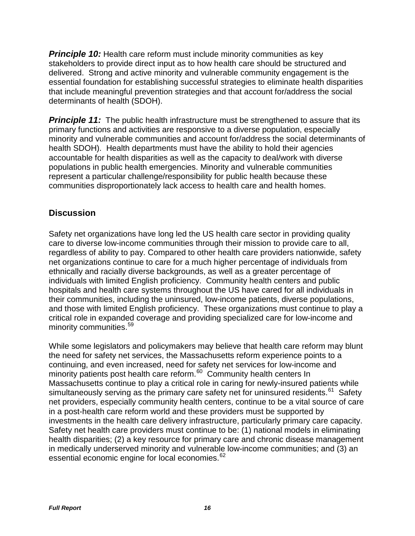*Principle 10:* Health care reform must include minority communities as key stakeholders to provide direct input as to how health care should be structured and delivered. Strong and active minority and vulnerable community engagement is the essential foundation for establishing successful strategies to eliminate health disparities that include meaningful prevention strategies and that account for/address the social determinants of health (SDOH).

**Principle 11:** The public health infrastructure must be strengthened to assure that its primary functions and activities are responsive to a diverse population, especially minority and vulnerable communities and account for/address the social determinants of health SDOH). Health departments must have the ability to hold their agencies accountable for health disparities as well as the capacity to deal/work with diverse populations in public health emergencies. Minority and vulnerable communities represent a particular challenge/responsibility for public health because these communities disproportionately lack access to health care and health homes.

## **Discussion**

Safety net organizations have long led the US health care sector in providing quality care to diverse low-income communities through their mission to provide care to all, regardless of ability to pay. Compared to other health care providers nationwide, safety net organizations continue to care for a much higher percentage of individuals from ethnically and racially diverse backgrounds, as well as a greater percentage of individuals with limited English proficiency. Community health centers and public hospitals and health care systems throughout the US have cared for all individuals in their communities, including the uninsured, low-income patients, diverse populations, and those with limited English proficiency. These organizations must continue to play a critical role in expanded coverage and providing specialized care for low-income and minority communities.<sup>[59](#page-40-11)</sup>

While some legislators and policymakers may believe that health care reform may blunt the need for safety net services, the Massachusetts reform experience points to a continuing, and even increased, need for safety net services for low-income and minority patients post health care reform.<sup>60</sup> Community health centers In Massachusetts continue to play a critical role in caring for newly-insured patients while simultaneously serving as the primary care safety net for uninsured residents.<sup>[61](#page-40-13)</sup> Safety net providers, especially community health centers, continue to be a vital source of care in a post-health care reform world and these providers must be supported by investments in the health care delivery infrastructure, particularly primary care capacity. Safety net health care providers must continue to be: (1) national models in eliminating health disparities; (2) a key resource for primary care and chronic disease management in medically underserved minority and vulnerable low-income communities; and (3) an essential economic engine for local economies.<sup>[62](#page-40-14)</sup>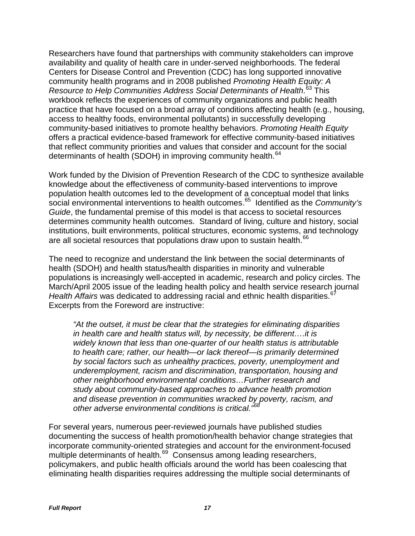Researchers have found that partnerships with community stakeholders can improve availability and quality of health care in under-served neighborhoods. The federal Centers for Disease Control and Prevention (CDC) has long supported innovative community health programs and in 2008 published *Promoting Health Equity: A Resource to Help Communities Address Social Determinants of Health*. [63](#page-40-15) This workbook reflects the experiences of community organizations and public health practice that have focused on a broad array of conditions affecting health (e.g., housing, access to healthy foods, environmental pollutants) in successfully developing community-based initiatives to promote healthy behaviors. *Promoting Health Equity* offers a practical evidence-based framework for effective community-based initiatives that reflect community priorities and values that consider and account for the social determinants of health (SDOH) in improving community health.<sup>[64](#page-41-0)</sup>

Work funded by the Division of Prevention Research of the CDC to synthesize available knowledge about the effectiveness of community-based interventions to improve population health outcomes led to the development of a conceptual model that links social environmental interventions to health outcomes.<sup>[65](#page-41-1)</sup> Identified as the *Community's Guide*, the fundamental premise of this model is that access to societal resources determines community health outcomes. Standard of living, culture and history, social institutions, built environments, political structures, economic systems, and technology are all societal resources that populations draw upon to sustain health.<sup>[66](#page-41-2)</sup>

The need to recognize and understand the link between the social determinants of health (SDOH) and health status/health disparities in minority and vulnerable populations is increasingly well-accepted in academic, research and policy circles. The March/April 2005 issue of the leading health policy and health service research journal *Health Affairs* was dedicated to addressing racial and ethnic health disparities.<sup>[67](#page-41-3)</sup> Excerpts from the Foreword are instructive:

*"At the outset, it must be clear that the strategies for eliminating disparities in health care and health status will, by necessity, be different….it is widely known that less than one-quarter of our health status is attributable to health care; rather, our health—or lack thereof—is primarily determined by social factors such as unhealthy practices, poverty, unemployment and underemployment, racism and discrimination, transportation, housing and other neighborhood environmental conditions…Further research and study about community-based approaches to advance health promotion and disease prevention in communities wracked by poverty, racism, and other adverse environmental conditions is critical."[68](#page-41-4)*

For several years, numerous peer-reviewed journals have published studies documenting the success of health promotion/health behavior change strategies that incorporate community-oriented strategies and account for the environment-focused multiple determinants of health.<sup>[69](#page-41-5)</sup> Consensus among leading researchers, policymakers, and public health officials around the world has been coalescing that eliminating health disparities requires addressing the multiple social determinants of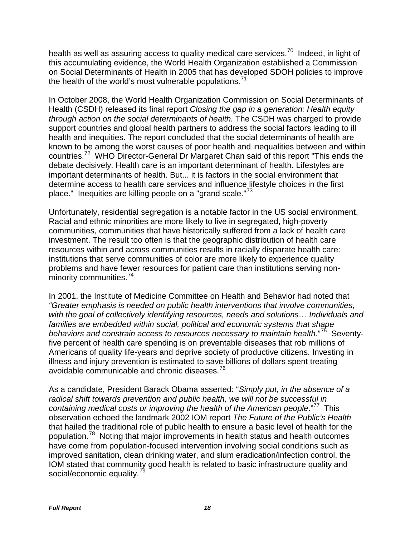health as well as assuring access to quality medical care services.<sup>70</sup> Indeed, in light of this accumulating evidence, the World Health Organization established a Commission on Social Determinants of Health in 2005 that has developed SDOH policies to improve the health of the world's most vulnerable populations.<sup> $1$ </sup>

In October 2008, the World Health Organization Commission on Social Determinants of Health (CSDH) released its final report *Closing the gap in a generation: Health equity through action on the social determinants of health.* The CSDH was charged to provide support countries and global health partners to address the social factors leading to ill health and inequities. The report concluded that the social determinants of health are known to be among the worst causes of poor health and inequalities between and within countries.<sup>[72](#page-41-8)</sup> WHO Director-General Dr Margaret Chan said of this report "This ends the debate decisively. Health care is an important determinant of health. Lifestyles are important determinants of health. But... it is factors in the social environment that determine access to health care services and influence lifestyle choices in the first place." Inequities are killing people on a "grand scale."<sup>[73](#page-41-9)</sup>

Unfortunately, residential segregation is a notable factor in the US social environment. Racial and ethnic minorities are more likely to live in segregated, high-poverty communities, communities that have historically suffered from a lack of health care investment. The result too often is that the geographic distribution of health care resources within and across communities results in racially disparate health care: institutions that serve communities of color are more likely to experience quality problems and have fewer resources for patient care than institutions serving non-minority communities.<sup>[74](#page-41-10)</sup>

In 2001, the Institute of Medicine Committee on Health and Behavior had noted that *"Greater emphasis is needed on public health interventions that involve communities, with the goal of collectively identifying resources, needs and solutions… Individuals and families are embedded within social, political and economic systems that shape behaviors and constrain access to resources necessary to maintain health*."[75](#page-41-11) Seventyfive percent of health care spending is on preventable diseases that rob millions of Americans of quality life-years and deprive society of productive citizens. Investing in illness and injury prevention is estimated to save billions of dollars spent treating avoidable communicable and chronic diseases. [76](#page-41-12)

As a candidate, President Barack Obama asserted: "*Simply put, in the absence of a radical shift towards prevention and public health, we will not be successful in containing medical costs or improving the health of the American people.*"<sup>77</sup> This observation echoed the landmark 2002 IOM report *The Future of the Public's Health* that hailed the traditional role of public health to ensure a basic level of health for the population.[78](#page-41-14) Noting that major improvements in health status and health outcomes have come from population-focused intervention involving social conditions such as improved sanitation, clean drinking water, and slum eradication/infection control, the IOM stated that community good health is related to basic infrastructure quality and social/economic equality.<sup>[79](#page-42-0)</sup>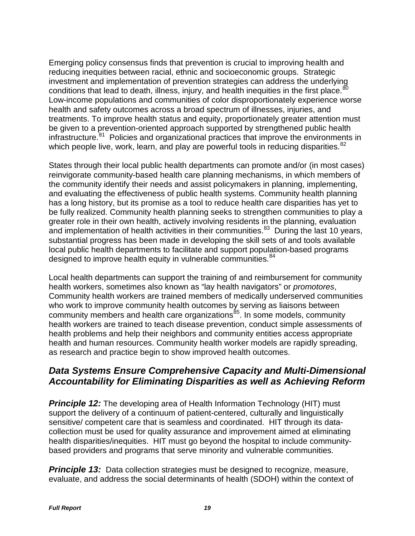Emerging policy consensus finds that prevention is crucial to improving health and reducing inequities between racial, ethnic and socioeconomic groups. Strategic investment and implementation of prevention strategies can address the underlying conditions that lead to death, illness, injury, and health inequities in the first place. $^{80}$  $^{80}$  $^{80}$ Low-income populations and communities of color disproportionately experience worse health and safety outcomes across a broad spectrum of illnesses, injuries, and treatments. To improve health status and equity, proportionately greater attention must be given to a prevention-oriented approach supported by strengthened public health infrastructure.<sup>81</sup> Policies and organizational practices that improve the environments in which people live, work, learn, and play are powerful tools in reducing disparities. $82$ 

States through their local public health departments can promote and/or (in most cases) reinvigorate community-based health care planning mechanisms, in which members of the community identify their needs and assist policymakers in planning, implementing, and evaluating the effectiveness of public health systems. Community health planning has a long history, but its promise as a tool to reduce health care disparities has yet to be fully realized. Community health planning seeks to strengthen communities to play a greater role in their own health, actively involving residents in the planning, evaluation and implementation of health activities in their communities. $83$  During the last 10 years, substantial progress has been made in developing the skill sets of and tools available local public health departments to facilitate and support population-based programs designed to improve health equity in vulnerable communities.<sup>[84](#page-42-5)</sup>

Local health departments can support the training of and reimbursement for community health workers, sometimes also known as "lay health navigators" or *promotores*, Community health workers are trained members of medically underserved communities who work to improve community health outcomes by serving as liaisons between community members and health care organizations<sup>85</sup>. In some models, community health workers are trained to teach disease prevention, conduct simple assessments of health problems and help their neighbors and community entities access appropriate health and human resources. Community health worker models are rapidly spreading, as research and practice begin to show improved health outcomes.

## *Data Systems Ensure Comprehensive Capacity and Multi-Dimensional Accountability for Eliminating Disparities as well as Achieving Reform*

**Principle 12:** The developing area of Health Information Technology (HIT) must support the delivery of a continuum of patient-centered, culturally and linguistically sensitive/ competent care that is seamless and coordinated. HIT through its datacollection must be used for quality assurance and improvement aimed at eliminating health disparities/inequities. HIT must go beyond the hospital to include communitybased providers and programs that serve minority and vulnerable communities.

**Principle 13:** Data collection strategies must be designed to recognize, measure, evaluate, and address the social determinants of health (SDOH) within the context of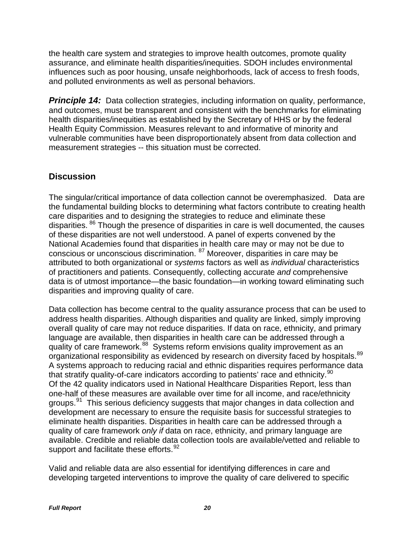the health care system and strategies to improve health outcomes, promote quality assurance, and eliminate health disparities/inequities. SDOH includes environmental influences such as poor housing, unsafe neighborhoods, lack of access to fresh foods, and polluted environments as well as personal behaviors.

**Principle 14:** Data collection strategies, including information on quality, performance, and outcomes, must be transparent and consistent with the benchmarks for eliminating health disparities/inequities as established by the Secretary of HHS or by the federal Health Equity Commission. Measures relevant to and informative of minority and vulnerable communities have been disproportionately absent from data collection and measurement strategies -- this situation must be corrected.

## **Discussion**

The singular/critical importance of data collection cannot be overemphasized. Data are the fundamental building blocks to determining what factors contribute to creating health care disparities and to designing the strategies to reduce and eliminate these disparities. [86](#page-42-7) Though the presence of disparities in care is well documented, the causes of these disparities are not well understood. A panel of experts convened by the National Academies found that disparities in health care may or may not be due to conscious or unconscious discrimination. [87](#page-42-8) Moreover, disparities in care may be attributed to both organizational or *systems* factors as well as *individual* characteristics of practitioners and patients. Consequently, collecting accurate *and* comprehensive data is of utmost importance—the basic foundation—in working toward eliminating such disparities and improving quality of care.

Data collection has become central to the quality assurance process that can be used to address health disparities. Although disparities and quality are linked, simply improving overall quality of care may not reduce disparities. If data on race, ethnicity, and primary language are available, then disparities in health care can be addressed through a quality of care framework.<sup>88</sup> Systems reform envisions quality improvement as an organizational responsibility as evidenced by research on diversity faced by hospitals.<sup>89</sup> A systems approach to reducing racial and ethnic disparities requires performance data that stratify quality-of-care indicators according to patients' race and ethnicity.<sup>[90](#page-42-11)</sup> Of the 42 quality indicators used in National Healthcare Disparities Report, less than one-half of these measures are available over time for all income, and race/ethnicity groups.<sup>[91](#page-42-12)</sup> This serious deficiency suggests that major changes in data collection and development are necessary to ensure the requisite basis for successful strategies to eliminate health disparities. Disparities in health care can be addressed through a quality of care framework *only if* data on race, ethnicity, and primary language are available. Credible and reliable data collection tools are available/vetted and reliable to support and facilitate these efforts.<sup>92</sup>

Valid and reliable data are also essential for identifying differences in care and developing targeted interventions to improve the quality of care delivered to specific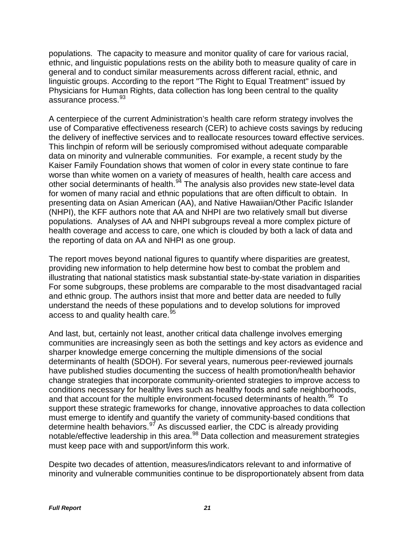populations. The capacity to measure and monitor quality of care for various racial, ethnic, and linguistic populations rests on the ability both to measure quality of care in general and to conduct similar measurements across different racial, ethnic, and linguistic groups. According to the report "The Right to Equal Treatment" issued by Physicians for Human Rights, data collection has long been central to the quality assurance process.<sup>[93](#page-42-14)</sup>

A centerpiece of the current Administration's health care reform strategy involves the use of Comparative effectiveness research (CER) to achieve costs savings by reducing the delivery of ineffective services and to reallocate resources toward effective services. This linchpin of reform will be seriously compromised without adequate comparable data on minority and vulnerable communities. For example, a recent study by the Kaiser Family Foundation shows that women of color in every state continue to fare worse than white women on a variety of measures of health, health care access and other social determinants of health.<sup>[94](#page-43-0)</sup> The analysis also provides new state-level data for women of many racial and ethnic populations that are often difficult to obtain. In presenting data on Asian American (AA), and Native Hawaiian/Other Pacific Islander (NHPI), the KFF authors note that AA and NHPI are two relatively small but diverse populations. Analyses of AA and NHPI subgroups reveal a more complex picture of health coverage and access to care, one which is clouded by both a lack of data and the reporting of data on AA and NHPI as one group.

The report moves beyond national figures to quantify where disparities are greatest, providing new information to help determine how best to combat the problem and illustrating that national statistics mask substantial state-by-state variation in disparities For some subgroups, these problems are comparable to the most disadvantaged racial and ethnic group. The authors insist that more and better data are needed to fully understand the needs of these populations and to develop solutions for improved access to and quality health care.<sup>[95](#page-43-1)</sup>

And last, but, certainly not least, another critical data challenge involves emerging communities are increasingly seen as both the settings and key actors as evidence and sharper knowledge emerge concerning the multiple dimensions of the social determinants of health (SDOH). For several years, numerous peer-reviewed journals have published studies documenting the success of health promotion/health behavior change strategies that incorporate community-oriented strategies to improve access to conditions necessary for healthy lives such as healthy foods and safe neighborhoods, and that account for the multiple environment-focused determinants of health.<sup>96</sup> To support these strategic frameworks for change, innovative approaches to data collection must emerge to identify and quantify the variety of community-based conditions that determine health behaviors.<sup>[97](#page-43-3)</sup> As discussed earlier, the CDC is already providing notable/effective leadership in this area.<sup>[98](#page-43-4)</sup> Data collection and measurement strategies must keep pace with and support/inform this work.

Despite two decades of attention, measures/indicators relevant to and informative of minority and vulnerable communities continue to be disproportionately absent from data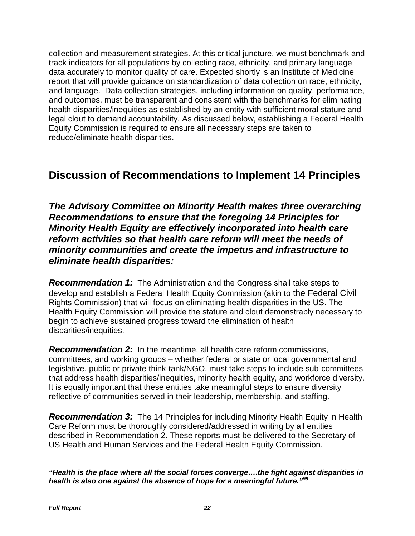collection and measurement strategies. At this critical juncture, we must benchmark and track indicators for all populations by collecting race, ethnicity, and primary language data accurately to monitor quality of care. Expected shortly is an Institute of Medicine report that will provide guidance on standardization of data collection on race, ethnicity, and language. Data collection strategies, including information on quality, performance, and outcomes, must be transparent and consistent with the benchmarks for eliminating health disparities/inequities as established by an entity with sufficient moral stature and legal clout to demand accountability. As discussed below, establishing a Federal Health Equity Commission is required to ensure all necessary steps are taken to reduce/eliminate health disparities.

# **Discussion of Recommendations to Implement 14 Principles**

*The Advisory Committee on Minority Health makes three overarching Recommendations to ensure that the foregoing 14 Principles for Minority Health Equity are effectively incorporated into health care reform activities so that health care reform will meet the needs of minority communities and create the impetus and infrastructure to eliminate health disparities:*

*Recommendation 1:* The Administration and the Congress shall take steps to develop and establish a Federal Health Equity Commission (akin to the Federal Civil Rights Commission) that will focus on eliminating health disparities in the US. The Health Equity Commission will provide the stature and clout demonstrably necessary to begin to achieve sustained progress toward the elimination of health disparities/inequities.

*Recommendation 2:* In the meantime, all health care reform commissions, committees, and working groups – whether federal or state or local governmental and legislative, public or private think-tank/NGO, must take steps to include sub-committees that address health disparities/inequities, minority health equity, and workforce diversity. It is equally important that these entities take meaningful steps to ensure diversity reflective of communities served in their leadership, membership, and staffing.

**Recommendation 3:** The 14 Principles for including Minority Health Equity in Health Care Reform must be thoroughly considered/addressed in writing by all entities described in Recommendation 2. These reports must be delivered to the Secretary of US Health and Human Services and the Federal Health Equity Commission.

*"Health is the place where all the social forces converge….the fight against disparities in health is also one against the absence of hope for a meaningful future."[99](#page-43-5)*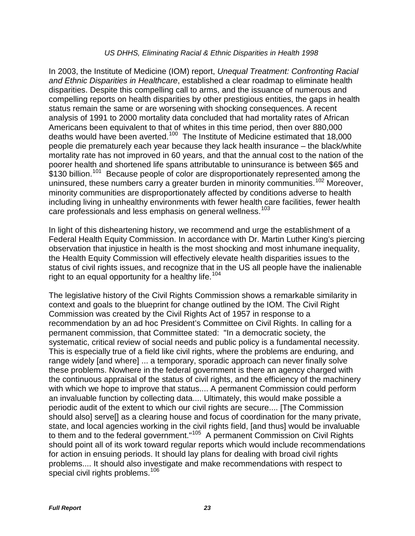### *US DHHS, Eliminating Racial & Ethnic Disparities in Health 1998*

In 2003, the Institute of Medicine (IOM) report, *Unequal Treatment: Confronting Racial and Ethnic Disparities in Healthcare*, established a clear roadmap to eliminate health disparities. Despite this compelling call to arms, and the issuance of numerous and compelling reports on health disparities by other prestigious entities, the gaps in health status remain the same or are worsening with shocking consequences. A recent analysis of 1991 to 2000 mortality data concluded that had mortality rates of African Americans been equivalent to that of whites in this time period, then over 880,000 deaths would have been averted.[100](#page-43-6) The Institute of Medicine estimated that 18,000 people die prematurely each year because they lack health insurance – the black/white mortality rate has not improved in 60 years, and that the annual cost to the nation of the poorer health and shortened life spans attributable to uninsurance is between \$65 and \$130 billion.<sup>101</sup> Because people of color are disproportionately represented among the uninsured, these numbers carry a greater burden in minority communities.<sup>[102](#page-43-8)</sup> Moreover, minority communities are disproportionately affected by conditions adverse to health including living in unhealthy environments with fewer health care facilities, fewer health care professionals and less emphasis on general wellness.<sup>[103](#page-43-9)</sup>

In light of this disheartening history, we recommend and urge the establishment of a Federal Health Equity Commission. In accordance with Dr. Martin Luther King's piercing observation that injustice in health is the most shocking and most inhumane inequality, the Health Equity Commission will effectively elevate health disparities issues to the status of civil rights issues, and recognize that in the US all people have the inalienable right to an equal opportunity for a healthy life.<sup>[104](#page-43-10)</sup>

The legislative history of the Civil Rights Commission shows a remarkable similarity in context and goals to the blueprint for change outlined by the IOM. The Civil Right Commission was created by the [Civil Rights Act of 1957](http://en.wikipedia.org/wiki/Civil_Rights_Act_of_1957) in response to a recommendation by an ad hoc President's Committee on Civil Rights. In calling for a permanent commission, that Committee stated: "In a democratic society, the systematic, critical review of social needs and public policy is a fundamental necessity. This is especially true of a field like civil rights, where the problems are enduring, and range widely [and where] ... a temporary, sporadic approach can never finally solve these problems. Nowhere in the federal government is there an agency charged with the continuous appraisal of the status of civil rights, and the efficiency of the machinery with which we hope to improve that status.... A permanent Commission could perform an invaluable function by collecting data.... Ultimately, this would make possible a periodic audit of the extent to which our civil rights are secure.... [The Commission should also] serve[] as a clearing house and focus of coordination for the many private, state, and local agencies working in the civil rights field, [and thus] would be invaluable to them and to the federal government."[105](#page-44-0) A permanent Commission on Civil Rights should point all of its work toward regular reports which would include recommendations for action in ensuing periods. It should lay plans for dealing with broad civil rights problems.... It should also investigate and make recommendations with respect to special civil rights problems.<sup>[106](#page-44-1)</sup>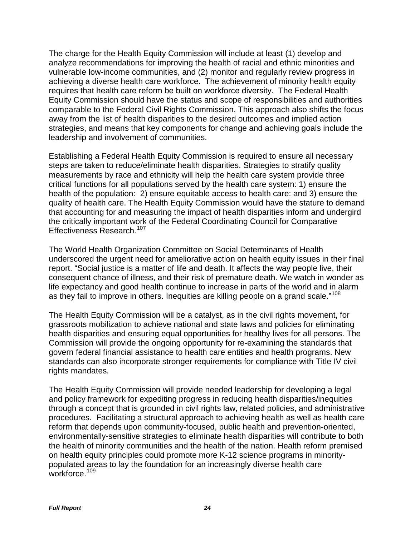The charge for the Health Equity Commission will include at least (1) develop and analyze recommendations for improving the health of racial and ethnic minorities and vulnerable low-income communities, and (2) monitor and regularly review progress in achieving a diverse health care workforce. The achievement of minority health equity requires that health care reform be built on workforce diversity. The Federal Health Equity Commission should have the status and scope of responsibilities and authorities comparable to the Federal Civil Rights Commission. This approach also shifts the focus away from the list of health disparities to the desired outcomes and implied action strategies, and means that key components for change and achieving goals include the leadership and involvement of communities.

Establishing a Federal Health Equity Commission is required to ensure all necessary steps are taken to reduce/eliminate health disparities. Strategies to stratify quality measurements by race and ethnicity will help the health care system provide three critical functions for all populations served by the health care system: 1) ensure the health of the population: 2) ensure equitable access to health care: and 3) ensure the quality of health care. The Health Equity Commission would have the stature to demand that accounting for and measuring the impact of health disparities inform and undergird the critically important work of the Federal Coordinating Council for Comparative Effectiveness Research. [107](#page-44-2)

The World Health Organization Committee on Social Determinants of Health underscored the urgent need for ameliorative action on health equity issues in their final report. "Social justice is a matter of life and death. It affects the way people live, their consequent chance of illness, and their risk of premature death. We watch in wonder as life expectancy and good health continue to increase in parts of the world and in alarm as they fail to improve in others. Inequities are killing people on a grand scale."<sup>[108](#page-44-3)</sup>

The Health Equity Commission will be a catalyst, as in the civil rights movement, for grassroots mobilization to achieve national and state laws and policies for eliminating health disparities and ensuring equal opportunities for healthy lives for all persons. The Commission will provide the ongoing opportunity for re-examining the standards that govern federal financial assistance to health care entities and health programs. New standards can also incorporate stronger requirements for compliance with Title IV civil rights mandates.

The Health Equity Commission will provide needed leadership for developing a legal and policy framework for expediting progress in reducing health disparities/inequities through a concept that is grounded in civil rights law, related policies, and administrative procedures. Facilitating a structural approach to achieving health as well as health care reform that depends upon community-focused, public health and prevention-oriented, environmentally-sensitive strategies to eliminate health disparities will contribute to both the health of minority communities and the health of the nation. Health reform premised on health equity principles could promote more K-12 science programs in minoritypopulated areas to lay the foundation for an increasingly diverse health care workforce. [109](#page-44-4)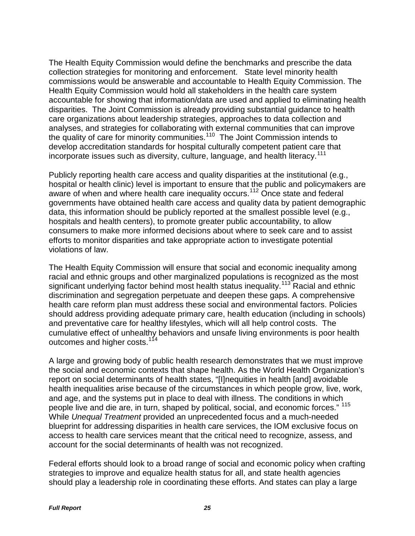The Health Equity Commission would define the benchmarks and prescribe the data collection strategies for monitoring and enforcement. State level minority health commissions would be answerable and accountable to Health Equity Commission. The Health Equity Commission would hold all stakeholders in the health care system accountable for showing that information/data are used and applied to eliminating health disparities. The Joint Commission is already providing substantial guidance to health care organizations about leadership strategies, approaches to data collection and analyses, and strategies for collaborating with external communities that can improve the quality of care for minority communities.<sup>[110](#page-44-5)</sup> The Joint Commission intends to develop accreditation standards for hospital culturally competent patient care that incorporate issues such as diversity, culture, language, and health literacy.<sup>[111](#page-44-6)</sup>

Publicly reporting health care access and quality disparities at the institutional (e.g., hospital or health clinic) level is important to ensure that the public and policymakers are aware of when and where health care inequality occurs.<sup>[112](#page-44-7)</sup> Once state and federal governments have obtained health care access and quality data by patient demographic data, this information should be publicly reported at the smallest possible level (e.g., hospitals and health centers), to promote greater public accountability, to allow consumers to make more informed decisions about where to seek care and to assist efforts to monitor disparities and take appropriate action to investigate potential violations of law.

The Health Equity Commission will ensure that social and economic inequality among racial and ethnic groups and other marginalized populations is recognized as the most significant underlying factor behind most health status inequality.<sup>[113](#page-44-8)</sup> Racial and ethnic discrimination and segregation perpetuate and deepen these gaps. A comprehensive health care reform plan must address these social and environmental factors. Policies should address providing adequate primary care, health education (including in schools) and preventative care for healthy lifestyles, which will all help control costs. The cumulative effect of unhealthy behaviors and unsafe living environments is poor health outcomes and higher costs.<sup>114</sup>

A large and growing body of public health research demonstrates that we must improve the social and economic contexts that shape health. As the World Health Organization's report on social determinants of health states, "[I]nequities in health [and] avoidable health inequalities arise because of the circumstances in which people grow, live, work, and age, and the systems put in place to deal with illness. The conditions in which people live and die are, in turn, shaped by political, social, and economic forces." [115](#page-44-10) While *Unequal Treatment* provided an unprecedented focus and a much-needed blueprint for addressing disparities in health care services, the IOM exclusive focus on access to health care services meant that the critical need to recognize, assess, and account for the social determinants of health was not recognized.

Federal efforts should look to a broad range of social and economic policy when crafting strategies to improve and equalize health status for all, and state health agencies should play a leadership role in coordinating these efforts. And states can play a large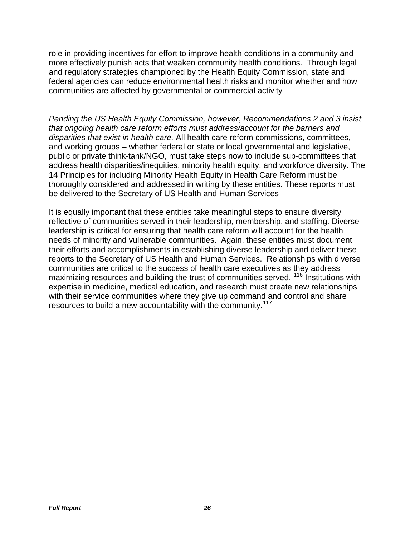role in providing incentives for effort to improve health conditions in a community and more effectively punish acts that weaken community health conditions. Through legal and regulatory strategies championed by the Health Equity Commission, state and federal agencies can reduce environmental health risks and monitor whether and how communities are affected by governmental or commercial activity

*Pending the US Health Equity Commission, however*, *Recommendations 2 and 3 insist that ongoing health care reform efforts must address/account for the barriers and disparities that exist in health care.* All health care reform commissions, committees, and working groups – whether federal or state or local governmental and legislative, public or private think-tank/NGO, must take steps now to include sub-committees that address health disparities/inequities, minority health equity, and workforce diversity. The 14 Principles for including Minority Health Equity in Health Care Reform must be thoroughly considered and addressed in writing by these entities. These reports must be delivered to the Secretary of US Health and Human Services

It is equally important that these entities take meaningful steps to ensure diversity reflective of communities served in their leadership, membership, and staffing. Diverse leadership is critical for ensuring that health care reform will account for the health needs of minority and vulnerable communities. Again, these entities must document their efforts and accomplishments in establishing diverse leadership and deliver these reports to the Secretary of US Health and Human Services. Relationships with diverse communities are critical to the success of health care executives as they address maximizing resources and building the trust of communities served. <sup>[116](#page-44-11)</sup> Institutions with expertise in medicine, medical education, and research must create new relationships with their service communities where they give up command and control and share resources to build a new accountability with the community.<sup>[117](#page-44-12)</sup>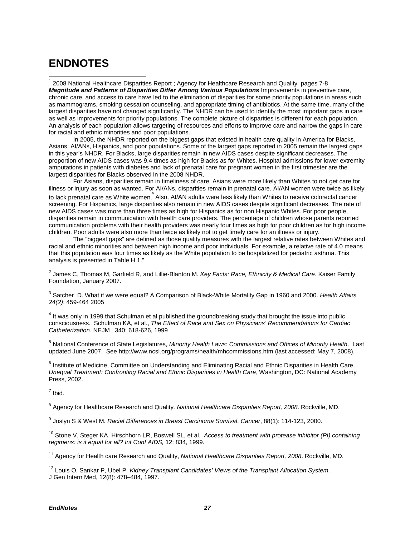# **ENDNOTES**

<span id="page-37-0"></span> $\overline{a}$ <sup>1</sup> 2008 National Healthcare Disparities Report ; Agency for Healthcare Research and Quality pages 7-8 Magnitude and Patterns of Disparities Differ Among Various Populations Improvements in preventive care, chronic care, and access to care have led to the elimination of disparities for some priority populations in areas such as mammograms, smoking cessation counseling, and appropriate timing of antibiotics. At the same time, many of the largest disparities have not changed significantly. The NHDR can be used to identify the most important gaps in care as well as improvements for priority populations. The complete picture of disparities is different for each population. An analysis of each population allows targeting of resources and efforts to improve care and narrow the gaps in care for racial and ethnic minorities and poor populations.

In 2005, the NHDR reported on the biggest gaps that existed in health care quality in America for Blacks, Asians, AI/ANs, Hispanics, and poor populations. Some of the largest gaps reported in 2005 remain the largest gaps in this year's NHDR. For Blacks, large disparities remain in new AIDS cases despite significant decreases. The proportion of new AIDS cases was 9.4 times as high for Blacks as for Whites. Hospital admissions for lower extremity amputations in patients with diabetes and lack of prenatal care for pregnant women in the first trimester are the largest disparities for Blacks observed in the 2008 NHDR.

For Asians, disparities remain in timeliness of care. Asians were more likely than Whites to not get care for illness or injury as soon as wanted. For AI/ANs, disparities remain in prenatal care. AI/AN women were twice as likely to lack prenatal care as White women. Also, AI/AN adults were less likely than Whites to receive colorectal cancer screening. For Hispanics, large disparities also remain in new AIDS cases despite significant decreases. The rate of new AIDS cases was more than three times as high for Hispanics as for non Hispanic Whites. For poor people, disparities remain in communication with health care providers. The percentage of children whose parents reported communication problems with their health providers was nearly four times as high for poor children as for high income children. Poor adults were also more than twice as likely not to get timely care for an illness or injury.

The "biggest gaps" are defined as those quality measures with the largest relative rates between Whites and racial and ethnic minorities and between high income and poor individuals. For example, a relative rate of 4.0 means that this population was four times as likely as the White population to be hospitalized for pediatric asthma. This analysis is presented in Table H.1."

<span id="page-37-1"></span><sup>2</sup> James C, Thomas M, Garfield R, and Lillie-Blanton M. *Key Facts: Race, Ethnicity & Medical Care*. Kaiser Family Foundation, January 2007.

<span id="page-37-2"></span>3 Satcher D. What if we were equal? A Comparison of Black-White Mortality Gap in 1960 and 2000. *Health Affairs 24(2)*: 459-464 2005

<span id="page-37-3"></span><sup>4</sup> It was only in 1999 that Schulman et al published the groundbreaking study that brought the issue into public consciousness. Schulman KA, et al., *The Effect of Race and Sex on Physicians' Recommendations for Cardiac Catheterization*. NEJM *,* 340: 618-626, 1999

<span id="page-37-4"></span><sup>5</sup> National Conference of State Legislatures, *Minority Health Laws: Commissions and Offices of Minority Health*. Last updated June 2007. See http://www.ncsl.org/programs/health/mhcommissions.htm (last accessed: May 7, 2008).

<span id="page-37-5"></span><sup>6</sup> Institute of Medicine, Committee on Understanding and Eliminating Racial and Ethnic Disparities in Health Care, *Unequal Treatment: Confronting Racial and Ethnic Disparities in Health Care*, Washington, DC: National Academy Press, 2002.

<span id="page-37-6"></span> $<sup>7</sup>$  Ibid.</sup>

<span id="page-37-7"></span><sup>8</sup> Agency for Healthcare Research and Quality*. National Healthcare Disparities Report, 2008*. Rockville, MD.

<span id="page-37-8"></span><sup>9</sup> Joslyn S & West M. *Racial Differences in Breast Carcinoma Survival*. *Cancer*, 88(1): 114-123, 2000.

<span id="page-37-9"></span><sup>10</sup> Stone V, Steger KA, Hirschhorn LR, Boswell SL, et al. *Access to treatment with protease inhibitor (PI) containing regimens: is it equal for all? Int Conf AIDS,* 12: 834, 1999.

<span id="page-37-10"></span><sup>11</sup> Agency for Health care Research and Quality, *National Healthcare Disparities Report, 2008*. Rockville, MD.

<span id="page-37-11"></span><sup>12</sup> Louis O, Sankar P, Ubel P. *Kidney Transplant Candidates' Views of the Transplant Allocation System*. J Gen Intern Med, 12(8): 478–484, 1997.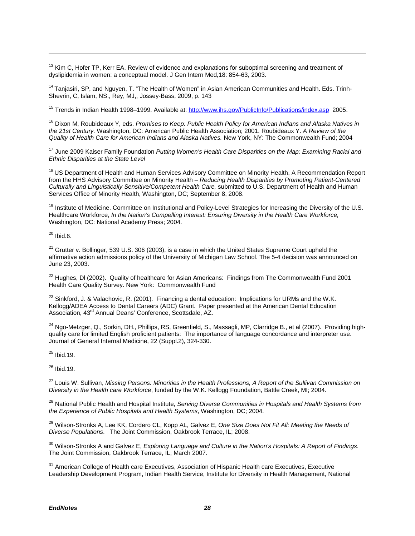<span id="page-38-0"></span><sup>13</sup> Kim C, Hofer TP, Kerr EA. Review of evidence and explanations for suboptimal screening and treatment of dyslipidemia in women: a conceptual model. J Gen Intern Med*,*18: 854-63, 2003.

<span id="page-38-1"></span><sup>14</sup> Tanjasiri, SP, and Nguyen, T. "The Health of Women" in Asian American Communities and Health. Eds. Trinh-Shevrin, C, Islam, NS., Rey, MJ,, Jossey-Bass, 2009, p. 143

<span id="page-38-2"></span><sup>15</sup> Trends in Indian Health 1998–1999. Available at:<http://www.ihs.gov/PublicInfo/Publications/index.asp>2005.

<span id="page-38-3"></span><sup>16</sup> Dixon M, Roubideaux Y, eds. *Promises to Keep: Public Health Policy for American Indians and Alaska Natives in the 21st Century.* Washington, DC: American Public Health Association; 2001. Roubideaux Y. *A Review of the Quality of Health Care for American Indians and Alaska Natives.* New York, NY: The Commonwealth Fund; 2004

<span id="page-38-4"></span><sup>17</sup> June 2009 Kaiser Family Foundation *Putting Women's Health Care Disparities on the Map: Examining Racial and Ethnic Disparities at the State Level*

<span id="page-38-5"></span><sup>18</sup> US Department of Health and Human Services Advisory Committee on Minority Health, A Recommendation Report from the HHS Advisory Committee on Minority Health – *Reducing Health Disparities by Promoting Patient-Centered Culturally and Linguistically Sensitive/Competent Health Care,* submitted to U.S. Department of Health and Human Services Office of Minority Health, Washington, DC; September 8, 2008.

<span id="page-38-6"></span><sup>19</sup> Institute of Medicine. Committee on Institutional and Policy-Level Strategies for Increasing the Diversity of the U.S. Healthcare Workforce, *In the Nation's Compelling Interest: Ensuring Diversity in the Health Care Workforce,* Washington, DC: National Academy Press; 2004.

<span id="page-38-7"></span> $20$  Ibid.6.

 $\overline{a}$ 

<span id="page-38-8"></span> $21$  Grutter v. Bollinger, 539 U.S. 306 (2003), is a case in which the United States Supreme Court upheld the affirmative action admissions policy of the University of Michigan Law School. The 5-4 decision was announced on June 23, 2003.

<span id="page-38-9"></span><sup>22</sup> Hughes, DI (2002). Quality of healthcare for Asian Americans: Findings from The Commonwealth Fund 2001 Health Care Quality Survey. New York: Commonwealth Fund

<span id="page-38-10"></span> $^{23}$  Sinkford, J. & Valachovic, R. (2001). Financing a dental education: Implications for URMs and the W.K. Kellogg/ADEA Access to Dental Careers (ADC) Grant. Paper presented at the American Dental Education Association, 43<sup>rd</sup> Annual Deans' Conference, Scottsdale, AZ.

<span id="page-38-11"></span><sup>24</sup> Ngo-Metzger, Q., Sorkin, DH., Phillips, RS, Greenfield, S., Massagli, MP, Clarridge B., et al (2007). Providing highquality care for limited English proficient patients: The importance of language concordance and interpreter use. Journal of General Internal Medicine, 22 (Suppl.2), 324-330.

<span id="page-38-12"></span> $25$  Ibid.19.

<span id="page-38-13"></span> $26$  Ibid.19.

<span id="page-38-14"></span><sup>27</sup> Louis W. Sullivan, *Missing Persons: Minorities in the Health Professions, A Report of the Sullivan Commission on Diversity in the Health care Workforce*, funded by the W.K. Kellogg Foundation, Battle Creek, MI; 2004.

<span id="page-38-15"></span> <sup>28</sup> National Public Health and Hospital Institute, *Serving Diverse Communities in Hospitals and Health Systems from the Experience of Public Hospitals and Health Systems*, Washington, DC; 2004.

<span id="page-38-16"></span> <sup>29</sup> Wilson-Stronks A, Lee KK, Cordero CL, Kopp AL, Galvez E, *One Size Does Not Fit All: Meeting the Needs of Diverse Populations*. The Joint Commission, Oakbrook Terrace, IL; 2008.

<span id="page-38-17"></span> <sup>30</sup> Wilson-Stronks A and Galvez E, *Exploring Language and Culture in the Nation's Hospitals: A Report of Findings*. The Joint Commission, Oakbrook Terrace, IL; March 2007.

<span id="page-38-18"></span><sup>31</sup> American College of Health care Executives, Association of Hispanic Health care Executives, Executive Leadership Development Program, Indian Health Service, Institute for Diversity in Health Management, National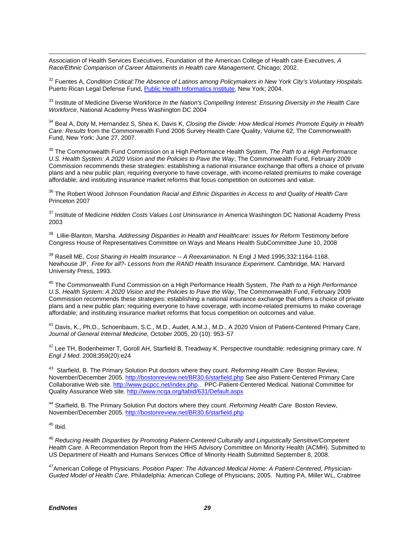$\overline{a}$ Association of Health Services Executives, Foundation of the American College of Health care Executives, *A Race/Ethnic Comparison of Career Attainments in Health care Management*, Chicago; 2002.

<span id="page-39-0"></span><sup>32</sup> Fuentes A, *Condition Critical:The Absence of Latinos among Policymakers in New York City's Voluntary Hospitals.* Puerto Rican Legal Defense Fund[, Public Health Informatics Institute,](http://www.phii.org/) New York; 2004.

<span id="page-39-1"></span><sup>33</sup> Institute of Medicine Diverse Workforce *In the Nation's Compelling Interest: Ensuring Diversity in the Health Care Workforce*, National Academy Press Washington DC 2004

<span id="page-39-2"></span><sup>34</sup> Beal A, Doty M, Hernandez S, Shea K, Davis K, *Closing the Divide: How Medical Homes Promote Equity in Health Care: Results* from the Commonwealth Fund 2006 Survey Health Care Quality, Volume 62, The Commonwealth Fund, New York; June 27, 2007.

<span id="page-39-3"></span><sup>35</sup> The Commonwealth Fund Commission on a High Performance Health System, *The Path to a High Performance U.S. Health System: A 2020 Vision and the Policies to Pave the Way*, The Commonwealth Fund, February 2009 Commission recommends these strategies: establishing a national insurance exchange that offers a choice of private plans and a new public plan; requiring everyone to have coverage, with income-related premiums to make coverage affordable; and instituting insurance market reforms that focus competition on outcomes and value.

<span id="page-39-4"></span><sup>36</sup> The Robert Wood Johnson Foundation *Racial and Ethnic Disparities in Access to and Quality of Health Care*  Princeton 2007

<span id="page-39-5"></span><sup>37</sup> Institute of Medicine *Hidden Costs Values Lost Uninsurance in America* Washington DC National Academy Press 2003

<span id="page-39-6"></span>38 Lillie-Blanton, Marsha. *Addressing Disparities in Health and Healthcare: Issues for Reform* Testimony before Congress House of Representatives Committee on Ways and Means Health SubCommittee June 10, 2008

<span id="page-39-7"></span><sup>39</sup> Rasell ME, *Cost Sharing in Health Insurance -- A Reexamination*. N Engl J Med 1995;332:1164-1168. Newhouse JP, *Free for all?- Lessons from the RAND Health Insurance Experiment*. Cambridge, MA: Harvard University Press, 1993.

<span id="page-39-8"></span><sup>40</sup> The Commonwealth Fund Commission on a High Performance Health System, *The Path to a High Performance U.S. Health System: A 2020 Vision and the Policies to Pave the Way*, The Commonwealth Fund, February 2009 Commission recommends these strategies: establishing a national insurance exchange that offers a choice of private plans and a new public plan; requiring everyone to have coverage, with income-related premiums to make coverage affordable; and instituting insurance market reforms that focus competition on outcomes and value.

<span id="page-39-9"></span><sup>41</sup> Davis, K., Ph.D., Schoenbaum, S.C., M.D., Audet, A.M.J., M.D., A 2020 Vision of Patient-Centered Primary Care, *Journal of General Internal Medicine,* October 2005, 20 (10): 953–57

<span id="page-39-10"></span><sup>42</sup> Lee TH, Bodenheimer T, Goroll AH, Starfield B, Treadway K. Perspective roundtable: redesigning primary care. *N Engl J Med*. 2008;359(20):e24

<span id="page-39-11"></span>43 Starfield, B. The Primary Solution Put doctors where they count. *Reforming Health Care* Boston Review, November/December 2005. <http://bostonreview.net/BR30.6/starfield.php> See also Patient-Centered Primary Care Collaborative Web site. [http://www.pcpcc.net/index.php.](http://www.pcpcc.net/index.php). PPC-Patient-Centered Medical. National Committee for Quality Assurance Web site[. http://www.ncqa.org/tabid/631/Default.aspx](http://www.ncqa.org/tabid/631/Default.aspx)

<span id="page-39-12"></span><sup>44</sup> Starfield, B. The Primary Solution Put doctors where they count. *Reforming Health Care* Boston Review, November/December 2005. <http://bostonreview.net/BR30.6/starfield.php>

<span id="page-39-13"></span> $45$  Ibid.

<span id="page-39-14"></span><sup>46</sup> *Reducing Health Disparities by Promoting Patient-Centered Culturally and Linguistically Sensitive/Competent Health Care*. A Recommendation Report from the HHS Advisory Committee on Minority Health (ACMH). Submitted to US Department of Health and Humans Services Office of Minority Health Submitted September 8, 2008.

<span id="page-39-15"></span>47American College of Physicians. *Position Paper: The Advanced Medical Home: A Patient-Centered, Physician-Guided Model of Health Care*. Philadelphia: American College of Physicians; 2005. Nutting PA, Miller WL, Crabtree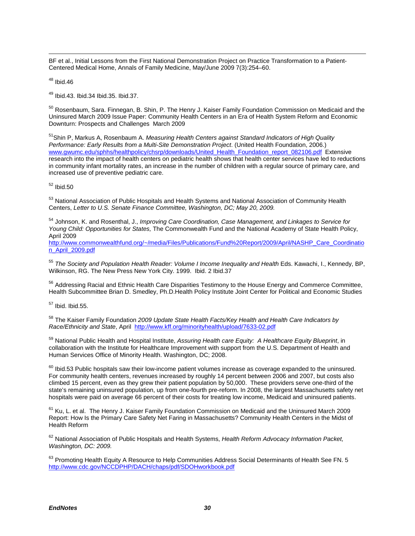$\overline{a}$ BF et al., Initial Lessons from the First National Demonstration Project on Practice Transformation to a Patient-Centered Medical Home, Annals of Family Medicine, May/June 2009 7(3):254–60.

<span id="page-40-0"></span> $48$  Ibid.46

<span id="page-40-1"></span><sup>49</sup> Ibid.43. Ibid.34 Ibid.35. Ibid.37.

<span id="page-40-2"></span><sup>50</sup> Rosenbaum, Sara. Finnegan, B. Shin, P. The Henry J. Kaiser Family Foundation Commission on Medicaid and the Uninsured March 2009 Issue Paper: Community Health Centers in an Era of Health System Reform and Economic Downturn: Prospects and Challenges March 2009

<span id="page-40-3"></span>51Shin P, Markus A, Rosenbaum A. *Measuring Health Centers against Standard Indicators of High Quality Performance: Early Results from a Multi-Site Demonstration Project*. (United Health Foundation, 2006.) [www.gwumc.edu/sphhs/healthpolicy/chsrp/downloads/United\\_Health\\_Foundation\\_report\\_082106.pdf](http://www.gwumc.edu/sphhs/healthpolicy/chsrp/downloads/United_Health_Foundation_report_082106.pdf) Extensive research into the impact of health centers on pediatric health shows that health center services have led to reductions in community infant mortality rates, an increase in the number of children with a regular source of primary care, and increased use of preventive pediatric care.

<span id="page-40-4"></span><sup>52</sup> Ibid.50

<span id="page-40-5"></span>53 National Association of Public Hospitals and Health Systems and National Association of Community Health Centers, *Letter to U.S. Senate Finance Committee, Washington, DC; May 20, 2009.* 

<span id="page-40-6"></span><sup>54</sup> Johnson, K. and Rosenthal, J., *Improving Care Coordination, Case Management, and Linkages to Service for Young Child: Opportunities for States,* The Commonwealth Fund and the National Academy of State Health Policy, April 2009

[http://www.commonwealthfund.org/~/media/Files/Publications/Fund%20Report/2009/April/NASHP\\_Care\\_Coordinatio](http://www.commonwealthfund.org/~/media/Files/Publications/Fund%20Report/2009/April/NASHP_Care_Coordination_April_2009.pdf) [n\\_April\\_2009.pdf](http://www.commonwealthfund.org/~/media/Files/Publications/Fund%20Report/2009/April/NASHP_Care_Coordination_April_2009.pdf)

<span id="page-40-7"></span><sup>55</sup> *The Society and Population Health Reader: Volume I Income Inequality and Health* Eds. Kawachi, I., Kennedy, BP, Wilkinson, RG. The New Press New York City. 1999. Ibid. 2 Ibid.37

<span id="page-40-8"></span><sup>56</sup> Addressing Racial and Ethnic Health Care Disparities Testimony to the House Energy and Commerce Committee, Health Subcommittee Brian D. Smedley, Ph.D.Health Policy Institute Joint Center for Political and Economic Studies

<span id="page-40-9"></span><sup>57</sup> Ibid. Ibid.55.

<span id="page-40-10"></span><sup>58</sup> The Kaiser Family Foundation *2009 Update State Health Facts/Key Health and Health Care Indicators by Race/Ethnicity and State*, April<http://www.kff.org/minorityhealth/upload/7633-02.pdf>

<span id="page-40-11"></span><sup>59</sup> National Public Health and Hospital Institute, *Assuring Health care Equity: A Healthcare Equity Blueprint*, in collaboration with the Institute for Healthcare Improvement with support from the U.S. Department of Health and Human Services Office of Minority Health. Washington, DC; 2008.

<span id="page-40-12"></span> $\overline{a}$  $^{60}$  Ibid.53 Public hospitals saw their low-income patient volumes increase as coverage expanded to the uninsured. For community health centers, revenues increased by roughly 14 percent between 2006 and 2007, but costs also climbed 15 percent, even as they grew their patient population by 50,000. These providers serve one-third of the state's remaining uninsured population, up from one-fourth pre-reform. In 2008, the largest Massachusetts safety net hospitals were paid on average 66 percent of their costs for treating low income, Medicaid and uninsured patients.

<span id="page-40-13"></span> $61$  Ku, L. et al. The Henry J. Kaiser Family Foundation Commission on Medicaid and the Uninsured March 2009 Report: How Is the Primary Care Safety Net Faring in Massachusetts? Community Health Centers in the Midst of Health Reform

<span id="page-40-14"></span><sup>62</sup> National Association of Public Hospitals and Health Systems, *Health Reform Advocacy Information Packet, Washington, DC: 2009.* 

<span id="page-40-15"></span><sup>63</sup> Promoting Health Equity A Resource to Help Communities Address Social Determinants of Health See FN. 5 <http://www.cdc.gov/NCCDPHP/DACH/chaps/pdf/SDOHworkbook.pdf>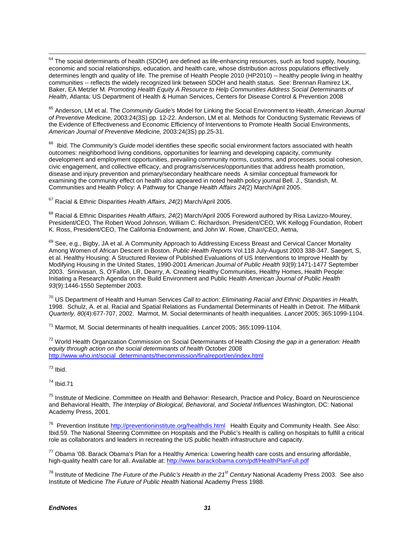<span id="page-41-0"></span> $64$  The social determinants of health (SDOH) are defined as life-enhancing resources, such as food supply, housing, economic and social relationships, education, and health care, whose distribution across populations effectively determines length and quality of life. The premise of Health People 2010 (HP2010) -- healthy people living in healthy communities -- reflects the widely recognized link between SDOH and health status. See: Brennan Ramirez LK, Baker, EA Metzler M. *Promoting Health Equity A Resource to Help Communities Address Social Determinants of Health*, Atlanta: US Department of Health & Human Services, Centers for Disease Control & Prevention 2008

<span id="page-41-1"></span><sup>65</sup> Anderson, LM et al. The *Community Guide's* Model for Linking the Social Environment to Health, *American Journal of Preventive Medicine,* 2003:24(3S) pp. 12-22. Anderson, LM et al. Methods for Conducting Systematic Reviews of the Evidence of Effectiveness and Economic Efficiency of Interventions to Promote Health Social Environments, *American Journal of Preventive Medicine,* 2003:24(3S) pp.25-31.

<span id="page-41-2"></span>66 Ibid. The *Community's Guide* model identifies these specific social environment factors associated with health outcomes: neighborhood living conditions, opportunities for learning and developing capacity, community development and employment opportunities, prevailing community norms, customs, and processes, social cohesion, civic engagement, and collective efficacy, and programs/services/opportunities that address health promotion, disease and injury prevention and primary/secondary healthcare needs A similar conceptual framework for examining the community effect on health also appeared in noted health policy journal Bell. J., Standish, M. Communities and Health Policy: A Pathway for Change *Health Affairs 24(*2) March/April 2005.

<span id="page-41-3"></span><sup>67</sup> Racial & Ethnic Disparities *Health Affairs, 24*(2) March/April 2005.

<span id="page-41-4"></span><sup>68</sup> Racial & Ethnic Disparities *Health Affairs, 24*(2) March/April 2005 Foreword authored by Risa Lavizzo-Mourey, President/CEO, The Robert Wood Johnson, William C. Richardson, President/CEO, WK Kellogg Foundation, Robert K. Ross, President/CEO, The California Endowment, and John W. Rowe, Chair/CEO, Aetna,

<span id="page-41-5"></span><sup>69</sup> See, e.g., Bigby, JA et al. A Community Approach to Addressing Excess Breast and Cervical Cancer Mortality Among Women of African Descent in Boston. *Public Health Reports* Vol.118 July-August 2003 338-347. Saegert, S, et al. Healthy Housing: A Structured Review of Published Evaluations of US Interventions to Improve Health by Modifying Housing in the United States, 1990-2001 *American Journal of Public Health 93*(9):1471-1477 September 2003. Srinivasan, S, O'Fallon, LR, Dearry, A. Creating Healthy Communities, Healthy Homes, Health People: Initiating a Research Agenda on the Build Environment and Public Health *American Journal of Public Health 93*(9):1446-1550 September 2003.

<span id="page-41-6"></span><sup>70</sup> US Department of Health and Human Services *Call to action: Eliminating Racial and Ethnic Disparities in Health,* 1998. Schulz, A. et al. Racial and Spatial Relations as Fundamental Determinants of Health in Detroit. *The Milbank Quarterly, 80(*4):677-707, 2002. Marmot, M. Social determinants of health inequalities. *Lancet* 2005; 365:1099-1104.

<span id="page-41-7"></span><sup>71</sup> Marmot, M. Social determinants of health inequalities. *Lancet* 2005; 365:1099-1104.

<span id="page-41-8"></span><sup>72</sup> World Health Organization Commission on Social Determinants of Health *Closing the gap in a generation: Health equity through action on the social determinants of health* October 2008 [http://www.who.int/social\\_determinants/thecommission/finalreport/en/index.html](http://www.who.int/social_determinants/thecommission/finalreport/en/index.html) 

<span id="page-41-9"></span> $73$  Ibid.

<span id="page-41-10"></span><sup>74</sup> Ibid.71

<span id="page-41-11"></span><sup>75</sup> Institute of Medicine. Committee on Health and Behavior: Research, Practice and Policy, Board on Neuroscience and Behavioral Health, *The Interplay of Biological, Behavioral, and Societal Influences* Washington, DC: National Academy Press, 2001.

<span id="page-41-12"></span><sup>76</sup> Prevention Institute<http://preventioninstitute.org/healthdis.html>Health Equity and Community Health. See Also: Ibid.59. The National Steering Committee on Hospitals and the Public's Health is calling on hospitals to fulfill a critical role as collaborators and leaders in recreating the US public health infrastructure and capacity.

<span id="page-41-13"></span> $77$  Obama '08. Barack Obama's Plan for a Healthy America: Lowering health care costs and ensuring affordable, high-quality health care for all. Available at: http:[//www.barackobama.com/pdf/HealthPlanFull.pdf](http://www.barackobama.com/pdf/HealthPlanFull.pdf)

<span id="page-41-14"></span><sup>78</sup> Institute of Medicine *The Future of the Public's Health in the 21st Century* National Academy Press 2003. See also Institute of Medicine *The Future of Public Health* National Academy Press 1988.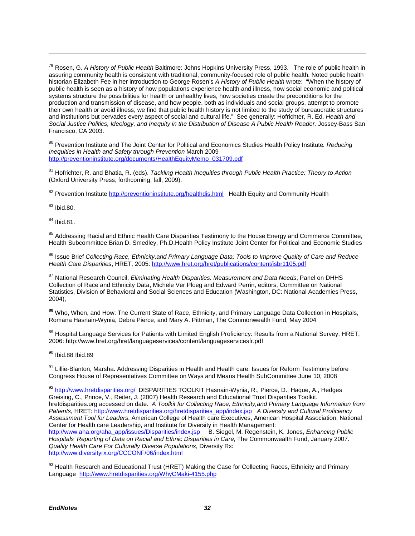<span id="page-42-0"></span><sup>79</sup> Rosen, G. *A History of Public Health* Baltimore: Johns Hopkins University Press, 1993. The role of public health in assuring community health is consistent with traditional, community-focused role of public health. Noted public health historian Elizabeth Fee in her introduction to George Rosen's *A History of Public Health* wrote:"When the history of public health is seen as a history of how populations experience health and illness, how social economic and political systems structure the possibilities for health or unhealthy lives, how societies create the preconditions for the production and transmission of disease, and how people, both as individuals and social groups, attempt to promote their own health or avoid illness, we find that public health history is not limited to the study of bureaucratic structures and institutions but pervades every aspect of social and cultural life." See generally: Hofrichter, R. Ed. *Health and Social Justice Politics, Ideology, and Inequity in the Distribution of Disease A Public Health Reader.* Jossey-Bass San Francisco, CA 2003.

<span id="page-42-1"></span><sup>80</sup> Prevention Institute and The Joint Center for Political and Economics Studies Health Policy Institute*. Reducing Inequities in Health and Safety through Prevention* March 2009 [http://preventioninstitute.org/documents/HealthEquityMemo\\_031709.pdf](http://preventioninstitute.org/documents/HealthEquityMemo_031709.pdf) 

<span id="page-42-2"></span><sup>81</sup> Hofrichter, R. and Bhatia, R. (eds). *Tackling Health Inequities through Public Health Practice: Theory to Action* (Oxford University Press, forthcoming, fall, 2009).

<span id="page-42-3"></span><sup>82</sup> Prevention Institut[e http://preventioninstitute.org/healthdis.html](http://preventioninstitute.org/healthdis.html) Health Equity and Community Health

<span id="page-42-4"></span> $83$  Ibid.80.

 $\overline{a}$ 

<span id="page-42-5"></span><sup>84</sup> Ibid.81.

<span id="page-42-6"></span><sup>85</sup> Addressing Racial and Ethnic Health Care Disparities Testimony to the House Energy and Commerce Committee, Health Subcommittee Brian D. Smedley, Ph.D.Health Policy Institute Joint Center for Political and Economic Studies

<span id="page-42-7"></span><sup>86</sup> Issue Brief *Collecting Race, Ethnicity,and Primary Language Data: Tools to Improve Quality of Care and Reduce Health Care Disparities*, HRET, 2005: <http://www.hret.org/hret/publications/content/isbr1105.pdf>

<span id="page-42-8"></span><sup>87</sup> National Research Council, *Eliminating Health Disparities: Measurement and Data Needs*, Panel on DHHS Collection of Race and Ethnicity Data, Michele Ver Ploeg and Edward Perrin, editors, Committee on National Statistics, Division of Behavioral and Social Sciences and Education (Washington, DC: National Academies Press, 2004),

<span id="page-42-9"></span>**<sup>88</sup>** Who, When, and How: The Current State of Race, Ethnicity, and Primary Language Data Collection in Hospitals, Romana Hasnain-Wynia, Debra Pierce, and Mary A. Pittman, The Commonwealth Fund, May 2004

<span id="page-42-10"></span><sup>89</sup> Hospital Language Services for Patients with Limited English Proficiency: Results from a National Survey, HRET, 2006:<http://www.hret.org/hret/languageservices/content/languageservicesfr.pdf>

<span id="page-42-11"></span><sup>90</sup> Ibid.88 Ibid.89

<span id="page-42-12"></span>91 Lillie-Blanton, Marsha. Addressing Disparities in Health and Health care: Issues for Reform Testimony before Congress House of Representatives Committee on Ways and Means Health SubCommittee June 10, 2008

<span id="page-42-13"></span>92 <http://www.hretdisparities.org/>DISPARITIES TOOLKIT Hasnain-Wynia, R., Pierce, D., Haque, A., Hedges Greising, C., Prince, V., Reiter, J. (2007) Health Research and Educational Trust Disparities Toolkit. hretdisparities.org accessed on date. *A Toolkit for Collecting Race, Ethnicity,and Primary Language Information from Patients*, HRET: [http://www.hretdisparities.org/hretdisparities\\_app/index.jsp](http://www.hretdisparities.org/hretdisparities_app/index.jsp) *A Diversity and Cultural Proficiency Assessment Tool for Leaders*, American College of Health care Executives, American Hospital Association, National Center for Health care Leadership, and Institute for Diversity in Health Management: [http://www.aha.org/aha\\_app/issues/Disparities/index.jsp](http://www.aha.org/aha_app/issues/Disparities/index.jsp) B. Siegel, M. Regenstein, K. Jones, *Enhancing Public Hospitals' Reporting of Data on Racial and Ethnic Disparities in Care*, The Commonwealth Fund, January 2007. *Quality Health Care For Culturally Diverse Populations*, Diversity Rx: <http://www.diversityrx.org/CCCONF/06/index.html>

<span id="page-42-14"></span>93 Health Research and Educational Trust (HRET) Making the Case for Collecting Races, Ethnicity and Primary Language <http://www.hretdisparities.org/WhyCMaki-4155.php>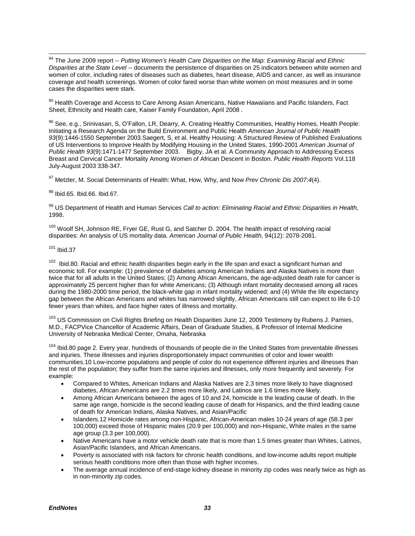<span id="page-43-0"></span> <sup>94</sup> The June 2009 report -- *Putting Women's Health Care Disparities on the Map: Examining Racial and Ethnic Disparities at the State Level --* documents the persistence of disparities on 25 indicators between white women and women of color, including rates of diseases such as diabetes, heart disease, AIDS and cancer, as well as insurance coverage and health screenings. Women of color fared worse than white women on most measures and in some cases the disparities were stark.

<span id="page-43-1"></span><sup>95</sup> Health Coverage and Access to Care Among Asian Americans, Native Hawaiians and Pacific Islanders, Fact Sheet, Ethnicity and Health care, Kaiser Family Foundation, April 2008.

<span id="page-43-2"></span>96 See, e.g., Srinivasan, S, O'Fallon, LR, Dearry, A. Creating Healthy Communities, Healthy Homes, Health People: Initiating a Research Agenda on the Build Environment and Public Health *American Journal of Public Health 93*(9):1446-1550 September 2003.Saegert, S, et al. Healthy Housing: A Structured Review of Published Evaluations of US Interventions to Improve Health by Modifying Housing in the United States, 1990-2001 *American Journal of Public Health 93*(9):1471-1477 September 2003. Bigby, JA et al. A Community Approach to Addressing Excess Breast and Cervical Cancer Mortality Among Women of African Descent in Boston. *Public Health Reports* Vol.118 July-August 2003 338-347.

<span id="page-43-3"></span><sup>97</sup> Metzler, M. Social Determinants of Health: What, How, Why, and Now *Prev Chronic Dis 2007:4*(4).

<span id="page-43-4"></span><sup>98</sup> Ibid.65. Ibid.66. Ibid.67.

<span id="page-43-5"></span><sup>99</sup> US Department of Health and Human Services *Call to action: Eliminating Racial and Ethnic Disparities in Health,* 1998.

<span id="page-43-6"></span><sup>100</sup> Woolf SH, Johnson RE, Fryer GE, Rust G, and Satcher D, 2004. The health impact of resolving racial disparities: An analysis of US mortality data. *American Journal of Public Health*, 94(12): 2078-2081.

### <span id="page-43-7"></span><sup>101</sup> Ibid.37

<span id="page-43-8"></span> $102$  Ibid.80. Racial and ethnic health disparities begin early in the life span and exact a significant human and economic toll. For example: (1) prevalence of diabetes among American Indians and Alaska Natives is more than twice that for all adults in the United States; (2) Among African Americans, the age-adjusted death rate for cancer is approximately 25 percent higher than for white Americans; (3) Although infant mortality decreased among all races during the 1980-2000 time period, the black-white gap in infant mortality widened; and (4) While the life expectancy gap between the African Americans and whites has narrowed slightly, African Americans still can expect to life 6-10 fewer years than whites, and face higher rates of illness and mortality.

<span id="page-43-9"></span><sup>103</sup> US Commission on Civil Rights Briefing on Health Disparities June 12, 2009 Testimony by Rubens J. Pamies, M.D., FACPVice Chancellor of Academic Affairs, Dean of Graduate Studies, & Professor of Internal Medicine University of Nebraska Medical Center, Omaha, Nebraska

<span id="page-43-10"></span><sup>104</sup> Ibid.80 page 2. Every year, hundreds of thousands of people die in the United States from preventable illnesses and injuries. These illnesses and injuries disproportionately impact communities of color and lower wealth communities.10 Low-income populations and people of color do not experience different injuries and illnesses than the rest of the population; they suffer from the same injuries and illnesses, only more frequently and severely. For example:

- Compared to Whites, American Indians and Alaska Natives are 2.3 times more likely to have diagnosed diabetes, African Americans are 2.2 times more likely, and Latinos are 1.6 times more likely.
- Among African Americans between the ages of 10 and 24, homicide is the leading cause of death. In the same age range, homicide is the second leading cause of death for Hispanics, and the third leading cause of death for American Indians, Alaska Natives, and Asian/Pacific
- Islanders.12 Homicide rates among non-Hispanic, African-American males 10-24 years of age (58.3 per 100,000) exceed those of Hispanic males (20.9 per 100,000) and non-Hispanic, White males in the same age group (3.3 per 100,000).
- Native Americans have a motor vehicle death rate that is more than 1.5 times greater than Whites, Latinos, Asian/Pacific Islanders, and African Americans.
- Poverty is associated with risk factors for chronic health conditions, and low-income adults report multiple serious health conditions more often than those with higher incomes.
- The average annual incidence of end-stage kidney disease in minority zip codes was nearly twice as high as in non-minority zip codes.